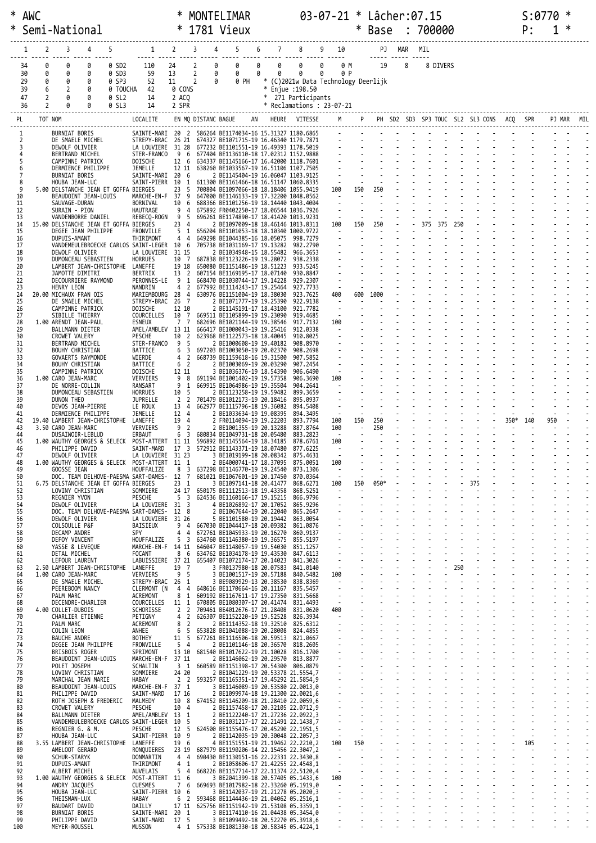| $\ast$<br>∗ | AWC                        |                  | Semi-National                                                 |                       |                                              |                                                                    | ∗                                 |                         |             | MONTELIMAR<br>1781 Vieux                                                                |        |                                      |                                                                                   |            |                          | $\ast$         | $03 - 07 - 21 *$ Lâcher: 07.15<br><b>Base</b> |        |   |     | : 700000 |     |                                  |      | S:077<br>P: |     | ∗ |  |
|-------------|----------------------------|------------------|---------------------------------------------------------------|-----------------------|----------------------------------------------|--------------------------------------------------------------------|-----------------------------------|-------------------------|-------------|-----------------------------------------------------------------------------------------|--------|--------------------------------------|-----------------------------------------------------------------------------------|------------|--------------------------|----------------|-----------------------------------------------|--------|---|-----|----------|-----|----------------------------------|------|-------------|-----|---|--|
|             |                            | 2                | 3                                                             | 4                     |                                              | 1                                                                  | $\overline{2}$                    | 3                       |             | 5                                                                                       | 6      |                                      |                                                                                   |            | 10                       |                |                                               | PJ MAR |   | MIL |          |     |                                  |      |             |     |   |  |
|             | 34<br>30<br>29<br>39<br>47 | 0<br>ø<br>0<br>2 | 0<br>Ø<br>0<br>2<br>Ø                                         | 0<br>0<br>0<br>0<br>0 | 0 SD2<br>0 SD3<br>0 SP3<br>0 TOUCHA<br>0 SL2 | 110<br>59<br>52<br>42<br>14                                        | 24<br>13<br>11<br>0 CONS<br>2 ACO | 2<br>2<br>2             | 0<br>0<br>0 | 0<br>0<br>0 PH                                                                          | 0<br>0 | 0<br>0<br>$\ast$<br>$\ast$<br>$\ast$ | 0<br>0<br>(C)2021w Data Technology Deerlijk<br>Enjue : 198.50<br>271 Participants | 0<br>0     | 0 M<br>0 P               |                | 19                                            |        | 8 |     | 8 DIVERS |     |                                  |      |             |     |   |  |
|             | 36                         | 2                | 0                                                             |                       | 0 SL3                                        | 14                                                                 | 2 SPR                             |                         |             |                                                                                         |        |                                      | * Reclamations : 23-07-21                                                         |            |                          |                |                                               |        |   |     |          |     |                                  |      |             |     |   |  |
|             | PL                         | TOT NOM          |                                                               |                       |                                              | LOCALITE                                                           |                                   | EN MO DISTANC BAGUE     |             |                                                                                         |        |                                      | HEURE VITESSE                                                                     |            |                          |                |                                               |        |   |     |          |     | PH SD2 SD3 SP3 TOUC SL2 SL3 CONS | ACQ  |             |     |   |  |
|             | 1<br>2                     |                  | BURNIAT BORIS<br>DE SMAELE MICHEL                             |                       |                                              | SAINTE-MARI 20 2<br>STREPY-BRAC                                    | 26 21                             |                         |             | 586264 BE1174034-16 15.31327 1180.6865<br>674327 BE1071715-19 16.46340 1179.7871        |        |                                      |                                                                                   |            |                          |                |                                               |        |   |     |          |     |                                  |      |             |     |   |  |
|             | 3<br>4                     |                  | DEWOLF OLIVIER<br>BERTRAND MICHEL                             |                       |                                              | LA LOUVIERE<br>STER-FRANCO                                         | 31 28<br>96                       |                         |             | 677232 BE1101551-19 16.49393 1178.5019<br>677404 BE1136110-18 17.02312 1152.9888        |        |                                      |                                                                                   |            |                          |                |                                               |        |   |     |          |     |                                  |      |             |     |   |  |
|             | 5<br>6                     |                  | CAMPINNE PATRICK<br>DERMIENCE PHILIPPE                        |                       |                                              | DOISCHE<br>JEMELLE                                                 | 12 6<br>12 11                     |                         |             | 634337 BE1145166-17 16.42000 1118.7601<br>638260 BE1033567-19 16.51106 1107.7505        |        |                                      |                                                                                   |            |                          |                |                                               |        |   |     |          |     |                                  |      |             |     |   |  |
|             | 7<br>8                     |                  | <b>BURNIAT BORIS</b><br>HOUBA JEAN-LUC                        |                       |                                              | SAINTE-MARI<br>SAINT-PIERR                                         | 20 6<br>10                        | 1                       |             | 2 BE1145404-19 16.06047 1103.9125<br>611300 BE1161466-18 16.51147 1060.8335             |        |                                      |                                                                                   |            | $\sim$                   |                |                                               |        |   |     |          |     |                                  |      |             |     |   |  |
|             | 9<br>10                    |                  | 5.00 DELSTANCHE JEAN ET GOFFA BIERGES<br>BEAUDOINT JEAN-LOUIS |                       |                                              | MARCHE-EN-F                                                        | 23<br>37                          | -5<br>9                 |             | 700804 BE1097066-18 18.18406 1055.9419<br>647000 BE1146133-19 17.32200 1048.0562        |        |                                      |                                                                                   | 100        | $\sim$                   | 150            | 250                                           |        |   |     |          |     |                                  |      |             |     |   |  |
|             | 11<br>12                   |                  | SAUVAGE-DURAN<br>SURAIN - PION                                |                       |                                              | BORNIVAL<br>HAUTRAGE                                               | 10<br>9                           | 6<br>-4                 |             | 688366 BE1101256-19 18.14440 1043.4004<br>675892 FR0402250-17 18.06544 1036.7926        |        |                                      |                                                                                   |            |                          |                |                                               |        |   |     |          |     |                                  |      |             |     |   |  |
|             | 13<br>14                   |                  | VANDENBORRE DANIEL<br>15.00 DELSTANCHE JEAN ET GOFFA BIERGES  |                       |                                              | REBECO-ROGN                                                        | 9<br>23 4                         | -5                      |             | 696261 BE1174890-17 18.41420 1013.9231<br>2 BE1097009-18 18.46146 1013.8311             |        |                                      |                                                                                   | 100        |                          | 150            | 250                                           |        |   | 375 | 375      |     |                                  |      |             |     |   |  |
|             | 15<br>16                   |                  | DEGEE JEAN PHILIPPE<br><b>DUPUIS-AMANT</b>                    |                       |                                              | FRONVILLE<br>THIRIMONT                                             | 5<br>4                            | 1<br>4                  |             | 656204 BE1101053-18 18.10340 1000.9722<br>649298 BE1044385-16 18.05075                  |        |                                      | 998.7279                                                                          |            |                          |                |                                               |        |   |     |          |     |                                  |      |             |     |   |  |
|             | 17<br>18                   |                  | DEWOLF OLIVIER                                                |                       |                                              | VANDEMEULEBROECKE CARLOS SAINT-LEGER<br>LA LOUVIERE                | 10 6<br>31 15                     |                         |             | 705738 BE1031169-17 19.13282<br>2 BE1034948-15 18.55482                                 |        |                                      | 982.2790<br>966.3653                                                              |            |                          |                |                                               |        |   |     |          |     |                                  |      |             |     |   |  |
|             | 19<br>20                   |                  | DUMONCEAU SEBASTIEN<br>LAMBERT JEAN-CHRISTOPHE                |                       |                                              | <b>HORRUES</b><br>LANEFFE                                          | 10 7<br>19 18                     |                         |             | 687838 BE1123226-19 19.28072<br>650080 BE1151486-19 18.51223                            |        |                                      | 938.2338<br>933.5245                                                              |            |                          |                |                                               |        |   |     |          |     |                                  |      |             |     |   |  |
|             | 21<br>22                   |                  | JAMOTTE DIMITRI<br>DECOURRIERE RAYMOND                        |                       |                                              | <b>BERTRIX</b><br>PERONNES-LE                                      | 13 2<br>9                         | 1                       |             | 607154 BE1169195-17 18.07140<br>668470 BE1030744-17 19.14228                            |        |                                      | 930.8847<br>929.2307                                                              |            |                          |                |                                               |        |   |     |          |     |                                  |      |             |     |   |  |
|             | 23<br>24                   |                  | HENRY LEON<br>20.00 MICHAUX FRAN OIS                          |                       |                                              | NANDRIN<br>MARIEMBOURG                                             | 4<br>28                           | 2<br>4                  |             | 677992 BE1114243-17 19.25464<br>630976 BE1151004-19 18.38030                            |        |                                      | 927.7733<br>923.7625                                                              | 400        |                          | 600            | 1000                                          |        |   |     |          |     |                                  |      |             |     |   |  |
|             | 25<br>26                   |                  | DE SMAELE MICHEL<br>CAMPINNE PATRICK                          |                       |                                              | STREPY-BRAC<br>DOISCHE                                             | 26<br>12 10                       | $\overline{7}$          |             | 2 BE1071777-19 19.25390<br>2 BE1145191-17 18.43100                                      |        |                                      | 922.9138<br>921.7782                                                              |            | $\sim$                   |                |                                               |        |   |     |          |     |                                  |      |             |     |   |  |
|             | 27<br>28<br>29             |                  | SIBILLE THIERRY<br>1.00 ARENDT JEAN-PAUL                      |                       |                                              | COURCELLES<br>ESNEUX<br>AMEL/AMBLEV 13 11                          | 10<br>7 7                         | 7                       |             | 669511 BE1105899-19 19.23090<br>682696 BE1021144-19 19.38546                            |        |                                      | 919.4685<br>917.7132<br>912.0338                                                  | 100        |                          |                |                                               |        |   |     |          |     |                                  |      |             |     |   |  |
|             | 30<br>31                   |                  | BALLMANN DIETER<br>CROWET VALERY                              |                       |                                              | PESCHE<br>STER-FRANCO                                              | 10<br>9                           | 2<br>-5                 |             | 666417 BE1000043-19 19.25416<br>623968 BE1122573-18 18.40045<br>2 BE1000608-19 19.40182 |        |                                      | 910.8025<br>908.8970                                                              |            |                          |                |                                               |        |   |     |          |     |                                  |      |             |     |   |  |
|             | 32<br>33                   |                  | BERTRAND MICHEL<br>BOUHY CHRISTIAN                            |                       |                                              | BATTICE<br>WIERDE                                                  | 6<br>4                            | 3<br>2                  |             | 697203 BE1003050-19 20.02370<br>668739 BE1159618-16 19.31500                            |        |                                      | 908.2698<br>907.5852                                                              |            |                          |                |                                               |        |   |     |          |     |                                  |      |             |     |   |  |
|             | 34<br>35                   |                  | GOVAERTS RAYMONDE<br>BOUHY CHRISTIAN<br>CAMPINNE PATRICK      |                       |                                              | BATTICE<br>DOISCHE                                                 | 6 2<br>12 11                      |                         |             | 2 BE1003069-19 20.03290<br>3 BE1036376-19 18.54390                                      |        |                                      | 907.2454<br>906.6490                                                              |            |                          |                |                                               |        |   |     |          |     |                                  |      |             |     |   |  |
|             | 36<br>37                   |                  | 1.00 CARO JEAN-MARC<br>DE NORRE-COLLIN                        |                       |                                              | VERVIERS<br>RANSART                                                | 9<br>9                            | 8<br>1                  |             | 691194 BE1001402-19 19.57358<br>669915 BE1064986-19 19.35504                            |        |                                      | 906.3690<br>904.2641                                                              | 100        |                          |                |                                               |        |   |     |          |     |                                  |      |             |     |   |  |
|             | 38<br>39                   |                  | DUMONCEAU SEBASTIEN<br>DUNON THEO                             |                       |                                              | <b>HORRUES</b><br>JUPRELLE                                         | 10<br>2                           | - 5<br>2                |             | 2 BE1123258-19 19.59482<br>701479 BE1012173-19 20.18416                                 |        |                                      | 899.3659<br>895.0937                                                              |            |                          |                |                                               |        |   |     |          |     |                                  |      |             |     |   |  |
|             | 40<br>41                   |                  | DEVOS JEAN-PIERRE<br>DERMIENCE PHILIPPE                       |                       |                                              | LE ROUX<br>JEMELLE                                                 | 13<br>12 4                        | 4                       |             | 662977 BE1115796-18 19.36082<br>2 BE1033634-19 19.08395                                 |        |                                      | 894,5408<br>894.3495                                                              |            | $\sim$                   |                |                                               |        |   |     |          |     |                                  |      |             |     |   |  |
|             | 42<br>43                   |                  | 19.40 LAMBERT JEAN-CHRISTOPHE<br>3.50 CARO JEAN-MARC          |                       |                                              | LANEFFE<br>VERVIERS                                                | 19<br>9                           | 4<br>$\overline{2}$     |             | 2 FR0114094-19 19.22203<br>2 BE1001355-19 20.13288                                      |        |                                      | 893,7794<br>887.8764                                                              | 100<br>100 |                          | 150            | 250<br>250                                    |        |   |     |          |     |                                  | 350* | 140         | 950 |   |  |
|             | 44<br>45                   |                  | DUSAIWOIR-LEBLUD<br>1.00 WAUTHY GEORGES & SELECK              |                       |                                              | ERBAUT<br>POST-ATTERT                                              | 6<br>11 11                        | 3                       |             | 680834 BE1049731-18 20.05480<br>596892 BE1145564-19 18.34185                            |        |                                      | 883.2823<br>878.6761                                                              | 100        | $\sim$                   |                |                                               |        |   |     |          |     |                                  |      |             |     |   |  |
|             | 46                         |                  | PHILIPPE DAVID<br>DEMOLF OLIVIER                              |                       |                                              | SAINT-MARD<br>LA LOUVIERE 31 23                                    | 17                                | $_{3}$                  |             | 572912 BE1143371-19 18.07480<br>3 BE1019199-18 20.08342 875.4631                        |        |                                      | 877.6225                                                                          |            |                          |                |                                               |        |   |     |          |     |                                  |      |             |     |   |  |
|             | 48<br>49                   |                  | GOOSSE JEAN                                                   |                       |                                              | 1.00 WAUTHY GEORGES & SELECK POST-ATTERT 11 1<br>HOUFFALIZE        | 8                                 | $\overline{\mathbf{3}}$ |             | 2 BE4000741-17 18.37095 875.0051<br>637298 BE1146770-19 19.24540 873.1306               |        |                                      |                                                                                   | 100        | $\overline{\phantom{a}}$ |                |                                               |        |   |     |          |     |                                  |      |             |     |   |  |
|             | 50<br>51                   |                  | 6.75 DELSTANCHE JEAN ET GOFFA BIERGES                         |                       |                                              | DOC. TEAM DELHOVE-PAESMA SART-DAMES- 12 7                          | $23 \quad 1$                      |                         |             | 681021 BE1067601-19 20.17450 870.0364<br>3 BE1097141-18 20.41477                        |        |                                      | 868.6271                                                                          | 100        | $\sim$                   | 150            | 050*                                          |        |   |     |          |     | 375                              |      |             |     |   |  |
|             | 52<br>53                   |                  | LOVINY CHRISTIAN<br>REGNIER YVON                              |                       |                                              | SOMMIERE<br>PESCHE                                                 | 24 17<br>5 3                      |                         |             | 650175 BE1112513-18 19.43358<br>624536 BE1160166-17 19.15215 866.9796                   |        |                                      | 868.5251                                                                          |            | $\sim$                   | $\blacksquare$ |                                               |        |   |     |          |     |                                  |      |             |     |   |  |
|             | 54<br>55                   |                  | DEWOLF OLIVIER                                                |                       |                                              | LA LOUVIERE 31 3<br>DOC. TEAM DELHOVE-PAESMA SART-DAMES- 12 8      |                                   |                         |             | 4 BE1026892-17 20.17052 865.9296<br>2 BE1067644-19 20.22040 865.2647                    |        |                                      |                                                                                   |            |                          |                |                                               |        |   |     |          |     |                                  |      |             |     |   |  |
|             | 56<br>57                   |                  | DEWOLF OLIVIER<br>COLSOULLE P&F                               |                       |                                              | LA LOUVIERE 31 26<br>BAISIEUX                                      |                                   |                         |             | 5 BE1101580-19 20.19442 863.0054<br>9 4 667030 BE1044417-18 20.09382 861.0876           |        |                                      |                                                                                   |            |                          |                |                                               |        |   |     |          |     |                                  |      |             |     |   |  |
|             | 58<br>59                   |                  | DECAMP ANDRE<br>DEFOY VINCENT                                 |                       |                                              | SPY<br>HOUFFALIZE                                                  | 44                                |                         |             | 672761 BE1045933-19 20.16270 860.9137<br>5 3 634760 BE1146380-19 19.36575 855.5197      |        |                                      |                                                                                   |            |                          |                |                                               |        |   |     |          |     |                                  |      |             |     |   |  |
|             | 60<br>61                   |                  | YASSE & LEVEQUE<br>DETAL MICHEL                               |                       |                                              | MARCHE-EN-F 14 11<br>FOCANT                                        | 8 6                               |                         |             | 646047 BE1148057-19 19.54030 851.1257<br>634762 BE1034178-19 19.43530 847.6113          |        |                                      |                                                                                   |            | $\sim$                   |                |                                               |        |   |     |          |     |                                  |      |             |     |   |  |
|             | 62<br>63                   |                  | LEFOUR LAURENT<br>2.50 LAMBERT JEAN-CHRISTOPHE                |                       |                                              | LABUISSIERE 37 21 655407 BE1072174-17 20.14023 841.3026<br>LANEFFE | 19 7<br>9 <sub>5</sub>            |                         |             | 3 FR0137980-18 20.07583 841.0140<br>3 BE1001517-19 20.57188                             |        |                                      | 840.5482                                                                          |            |                          |                |                                               |        |   |     |          | 250 |                                  |      |             |     |   |  |
|             | 64<br>65<br>66             |                  | 1.00 CARO JEAN-MARC<br>DE SMAELE MICHEL<br>PEEREBOOM NANCY    |                       |                                              | VERVIERS<br>STREPY-BRAC 26 1<br>CLERMONT (N 4 4                    |                                   |                         |             | 3 BE9089929-13 20.38530 838.8369<br>648616 BE1170664-16 20.11167 835.5457               |        |                                      |                                                                                   | 100        | $\sim$                   |                |                                               |        |   |     |          |     |                                  |      |             |     |   |  |
|             | 67<br>68                   |                  | PALM MARC<br>DECENDRE-CHARLIER                                |                       |                                              | ACREMONT<br>COURCELLES                                             | 8<br>11 1                         | 1                       |             | 609192 BE1167611-17 19.27350 831.5668<br>670805 BE1080307-17 20.41474 831.4493          |        |                                      |                                                                                   |            | $\sim$                   |                |                                               |        |   |     |          |     |                                  |      |             |     |   |  |
|             | 69<br>70                   |                  | 4.00 COLLET-DUBOIS<br>CHARLIER ETIENNE                        |                       |                                              | SCHORISSE<br>PETIGNY                                               | 2 <sub>2</sub><br>4               | $\overline{2}$          |             | 709461 BE4012676-17 21.28408 831.0620<br>626307 BE1152220-19 19.52528 826.3934          |        |                                      |                                                                                   | 400        | $\sim$                   |                |                                               |        |   |     |          |     |                                  |      |             |     |   |  |
|             | 71<br>72                   |                  | PALM MARC<br>COLIN LEON                                       |                       |                                              | ACREMONT<br>ANHEE                                                  | 8<br>6                            | 2<br>-5                 |             | 2 BE1114352-18 19.32510 825.6312<br>653828 BE1041088-19 20.28008 824.4855               |        |                                      |                                                                                   |            |                          |                |                                               |        |   |     |          |     |                                  |      |             |     |   |  |
|             | 73<br>74                   |                  | <b>BAUCHE ANDRE</b><br>DEGEE JEAN PHILIPPE                    |                       |                                              | BOTHEY<br>FRONVILLE                                                | 11<br>5 <sub>4</sub>              | -5                      |             | 677261 BE1116506-18 20.59513 821.0667<br>2 BE1101146-18 20.36570 818.2605               |        |                                      |                                                                                   |            |                          |                |                                               |        |   |     |          |     |                                  |      |             |     |   |  |
|             | 75<br>76                   |                  | BRISBOIS ROGER<br>BEAUDOINT JEAN-LOUIS                        |                       |                                              | SPRIMONT<br>MARCHE-EN-F 37 11                                      |                                   |                         |             | 13 10 681540 BE1017622-19 21.10028 816.1700<br>2 BE1146062-19 20.29570 813.8877         |        |                                      |                                                                                   |            |                          |                |                                               |        |   |     |          |     |                                  |      |             |     |   |  |
|             | 77<br>78                   |                  | POLET JOSEPH<br>LOVINY CHRISTIAN                              |                       |                                              | SCHALTIN<br>SOMMIERE                                               | 24 20                             |                         |             | 3 1 660589 BE1151398-17 20.54300 806.0879<br>2 BE1041229-19 20.53378 21.5554,7          |        |                                      |                                                                                   |            |                          |                |                                               |        |   |     |          |     |                                  |      |             |     |   |  |
|             | 79<br>80                   |                  | MARCHAL JEAN MARIE<br>BEAUDOINT JEAN-LOUIS                    |                       |                                              | HABAY<br>MARCHE-EN-F 37 1                                          |                                   |                         |             | 2 2 593257 BE1165351-17 19.45292 21.5854,9<br>3 BE1146089-19 20.53580 22.0013,0         |        |                                      |                                                                                   |            | $\mathbf{r}$             |                |                                               |        |   |     |          |     |                                  |      |             |     |   |  |
|             | 81<br>82                   |                  | PHILIPPE DAVID<br>ROTH JOSEPH & FREDERIC                      |                       |                                              | SAINT-MARD<br>MALMEDY                                              | 17 16<br>10 8                     |                         |             | 2 BE1099974-18 19.21300 22.0021,6<br>674152 BE1146209-18 21.28410 22.0059,6             |        |                                      |                                                                                   |            |                          |                |                                               |        |   |     |          |     |                                  |      |             |     |   |  |
|             | 83<br>84                   |                  | CROWET VALERY<br>BALLMANN DIETER                              |                       |                                              | PESCHE<br>AMEL/AMBLEV 13 1                                         | 10 4                              |                         |             | 2 BE1157458-17 20.32105 22.0712,9<br>2 BE1122240-17 21.27236 22.0922,3                  |        |                                      |                                                                                   |            |                          |                |                                               |        |   |     |          |     |                                  |      |             |     |   |  |
|             | 85<br>86                   |                  | REGNIER G. & M.                                               |                       |                                              | VANDEMEULEBROECKE CARLOS SAINT-LEGER 10 5<br>PESCHE                | 12 5                              |                         |             | 2 BE1031217-17 22.21491 22.1438,7<br>624500 BE1155476-17 20.45290 22.1951,5             |        |                                      |                                                                                   |            | $\mathbb{Z}$<br>$\sim$   |                |                                               |        |   |     |          |     |                                  |      |             |     |   |  |
|             | 87<br>88                   |                  | HOUBA JEAN-LUC<br>3.55 LAMBERT JEAN-CHRISTOPHE                |                       |                                              | SAINT-PIERR 10 9<br>LANEFFE                                        | 19 6                              |                         |             | 2 BE1142035-19 20.30048 22.2057,3<br>4 BE1151551-19 21.19462 22.2210,2                  |        |                                      |                                                                                   | 100        |                          | 150            |                                               |        |   |     |          |     |                                  |      | 105         |     |   |  |
|             | 89<br>90                   |                  | AMELOOT GERARD<br><b>SCHUR-STARYK</b>                         |                       |                                              | RONQUIERES<br>DONMARTIN                                            | 23 19<br>4 4                      |                         |             | 687979 BE1190206-14 22.15456 22.3047,2<br>690430 BE1130151-16 22.22331 22.3430,8        |        |                                      |                                                                                   |            | ÷.                       |                |                                               |        |   |     |          |     |                                  |      |             |     |   |  |
|             | 91<br>92                   |                  | DUPUIS-AMANT<br>ALBERT MICHEL                                 |                       |                                              | THIRIMONT<br>AUVELAIS                                              | $\overline{4}$<br>54              | 1                       |             | 2 BE1058606-17 21.42255 22.4548,1<br>668226 BE1157714-17 22.11374 22.5120,4             |        |                                      |                                                                                   |            | $\Box$<br>$\sim$         |                |                                               |        |   |     |          |     |                                  |      |             |     |   |  |
|             | 93<br>94                   |                  | ANDRY JACQUES                                                 |                       |                                              | 1.00 WAUTHY GEORGES & SELECK POST-ATTERT 11 6<br><b>CUESMES</b>    | 7 6                               |                         |             | 3 BE2041399-18 20.57405 05.1433,6<br>669693 BE1017982-18 22.33260 05.1919,0             |        |                                      |                                                                                   | 100        | $\sim$                   |                |                                               |        |   |     |          |     |                                  |      |             |     |   |  |
|             | 95<br>96                   |                  | HOUBA JEAN-LUC<br>THE ISMAN-LUX                               |                       |                                              | SAINT-PIERR 10 6<br>HABAY                                          | 6                                 | $\overline{2}$          |             | 3 BE1142037-19 21.21278 05.2020,3<br>593468 BE1144436-19 21.04062 05.2516,1             |        |                                      |                                                                                   |            |                          |                |                                               |        |   |     |          |     |                                  |      |             |     |   |  |
|             | 97<br>98                   |                  | BAUDART DAVID<br><b>BURNIAT BORIS</b>                         |                       |                                              | DAILLY<br>SAINTE-MARI 20 1                                         | 17 11                             |                         |             | 625756 BE1151942-19 21.53108 05.3359.1<br>3 BE1174110-16 21.04438 05.3454,0             |        |                                      |                                                                                   |            | $\frac{1}{2}$            |                |                                               |        |   |     |          |     |                                  |      |             |     |   |  |
| 100         | 99                         |                  | PHILIPPE DAVID<br>MEYER-ROUSSEL                               |                       |                                              | SAINT-MARD 17 5<br><b>MUSSON</b>                                   |                                   |                         |             | 3 BE1099492-18 20.52270 05.3918,6<br>4 1 575338 BE1081330-18 20.58345 05.4224.1         |        |                                      |                                                                                   |            |                          |                |                                               |        |   |     |          |     |                                  |      |             |     |   |  |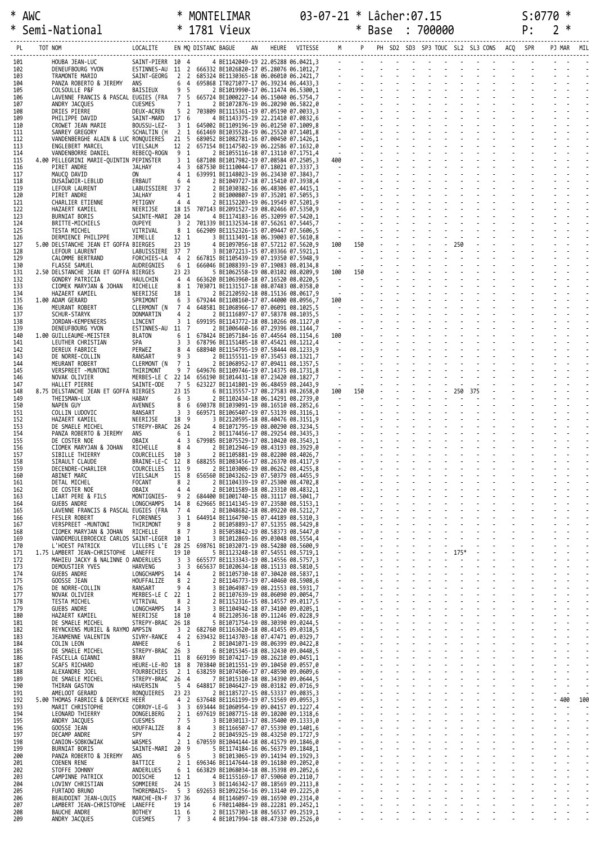| *          | * AWC |         | Semi-National                                                                                                                                                                                                                                        | $*$ 1781 Vieux                    |                    |     |                                                                                                                                                                                                                                                                                                 |  |  | * Base : 700000 |  |  |  |  |        |            |
|------------|-------|---------|------------------------------------------------------------------------------------------------------------------------------------------------------------------------------------------------------------------------------------------------------|-----------------------------------|--------------------|-----|-------------------------------------------------------------------------------------------------------------------------------------------------------------------------------------------------------------------------------------------------------------------------------------------------|--|--|-----------------|--|--|--|--|--------|------------|
| PL         |       | TOT NOM |                                                                                                                                                                                                                                                      |                                   |                    |     |                                                                                                                                                                                                                                                                                                 |  |  |                 |  |  |  |  |        | PJ MAR MIL |
| 101<br>102 |       |         | HOUBA JEAN-LUC                                                                                                                                                                                                                                       | SAINT-PIERR 10 4                  |                    |     | ANC BAGILE MAY HELIRES (MP PH SD2 503 597 TOUC SL2 SL3 CONS ACQ SPR<br>24 BE14226429-19 22.05288 66.4921,<br>332 BE14226429-17 05.2808 66.4921,<br>332 BE1426632-17 05.28076 66.1912,<br>868 BT0271977-17 06.39234 06.4231,<br>25 BE<br>ESTINNES-AU 11 2 666332 BE1026820-17 05.28076 06.1012,7 |  |  |                 |  |  |  |  |        |            |
| 103<br>104 |       |         | DENEUFBOURG YVON<br>TRAMONTE MARIO<br>PANZA ROBERTO & JEREMY ANS                                                                                                                                                                                     |                                   |                    |     | SAINT-GEORG 2 2 685324 BE1130365-18 06.06010 06.2421,7<br>6 4 695868 IT0271077-17 06.39234 06.4433,3                                                                                                                                                                                            |  |  |                 |  |  |  |  |        |            |
| 105<br>106 |       |         | COLSOULLE P&F<br>LAVENNE FRANCIS & PASCAL EUGIES (FRA 7 5 665724 BE1000227-14 06.15040 06.5754,7                                                                                                                                                     |                                   |                    |     | BAISIEUX 9 5 2 BE1019990-17 06.11474 06.5300,1                                                                                                                                                                                                                                                  |  |  |                 |  |  |  |  |        |            |
| 107        |       |         | ANDRY JACQUES                                                                                                                                                                                                                                        | <b>CUESMES</b>                    |                    | 7 1 |                                                                                                                                                                                                                                                                                                 |  |  |                 |  |  |  |  |        |            |
| 108<br>109 |       |         | DRIES PIERRE<br>PHILIPPE DAVID                                                                                                                                                                                                                       | DEUX-ACREN<br>SAINT-MARD 17 6     |                    |     | 5 2 703809 BE1115361-19 07.05190 07.0033,3<br>4 BE1143375-19 22.21410 07.0832,6                                                                                                                                                                                                                 |  |  |                 |  |  |  |  |        |            |
| 110<br>111 |       |         | CROWET JEAN MARIE<br>SANREY GREGORY                                                                                                                                                                                                                  | BOUSSU-LEZ-<br>SCHALTIN (H        | 2 1                |     | 3 1 645002 BE1109196-19 06.01250 07.1009,8<br>661469 BE1035528-19 06.25520 07.1401,8                                                                                                                                                                                                            |  |  |                 |  |  |  |  |        |            |
| 112<br>113 |       |         | VANDENBERGHE ALAIN & LUC RONQUIERES 21 5 689052 BE1082781-16 07.00450 07.1426,1<br>ENGLEBERT MARCEL                                                                                                                                                  | VIELSALM                          |                    |     | 12 2 657154 BE1147502-19 06.22586 07.1632,0                                                                                                                                                                                                                                                     |  |  |                 |  |  |  |  |        |            |
| 114<br>115 |       |         | VANDENBORRE DANIEL<br>4.00 PELLEGRINI MARIE-QUINTIN PEPINSTER                                                                                                                                                                                        | REBECQ-ROGN 9 1                   |                    |     | 2 BE1055116-18 07.13110 07.1751,4<br>3 1 687108 BE1017982-19 07.08584 07.2505,3                                                                                                                                                                                                                 |  |  |                 |  |  |  |  |        |            |
| 116<br>117 |       |         | PIRET ANDRE<br>MAUCQ DAVID                                                                                                                                                                                                                           | <b>JALHAY</b><br>ON               |                    |     | 4 3 687530 BE1110044-17 07.18021 07.3337,3<br>4 1 639991 BE1148023-19 06.23430 07.3843,7                                                                                                                                                                                                        |  |  |                 |  |  |  |  |        |            |
| 118<br>119 |       |         | DUSAIWOIR-LEBLUD<br>LEFOUR LAURENT                                                                                                                                                                                                                   | <b>ERBAUT</b><br>LABUISSIERE 37 2 |                    |     | 6 4 2 BE1049727-18 07.15410 07.3938,4                                                                                                                                                                                                                                                           |  |  |                 |  |  |  |  |        |            |
| 120<br>121 |       |         | PIRET ANDRE<br>CHARLIER ETIENNE                                                                                                                                                                                                                      | <b>JALHAY</b><br>PETIGNY          | $4 \quad 1$<br>4 4 |     |                                                                                                                                                                                                                                                                                                 |  |  |                 |  |  |  |  |        |            |
| 122<br>123 |       |         | HAZAERT KAMIEL<br>BURNIAT BORIS                                                                                                                                                                                                                      | SAINTE-MARI 20 14                 |                    |     | NEERIJSE 18 15 707143 BE2091527-19 08.02466 07.5350,9                                                                                                                                                                                                                                           |  |  |                 |  |  |  |  |        |            |
| 124<br>125 |       |         | BRITTE-MICHIELS<br>TESTA MICHEL                                                                                                                                                                                                                      | OUPEYE<br>VITRIVAL                |                    |     | 3 2 701339 BE1132534-18 07.56261 07.5445,7<br>8 1 662909 BE1152326-15 07.09447 07.5606,5                                                                                                                                                                                                        |  |  |                 |  |  |  |  |        |            |
| 126<br>127 |       |         | DERMIENCE PHILIPPE<br>5.00 DELSTANCHE JEAN ET GOFFA BIERGES                                                                                                                                                                                          | JEMELLE                           | 12 1<br>23 19      |     |                                                                                                                                                                                                                                                                                                 |  |  |                 |  |  |  |  |        |            |
| 128<br>129 |       |         | LEFOUR LAURENT<br>CALOMME BERTRAND                                                                                                                                                                                                                   | LABUISSIERE 37 7                  |                    |     | 3 BE1072213-15 07.03366 07.5921,1<br>FORCHIES-LA 4 2 667815 BE1105439-19 07.19350 07.5948.9                                                                                                                                                                                                     |  |  |                 |  |  |  |  |        |            |
| 130<br>131 |       |         | FLASSE SAMUEL<br>2.50 DELSTANCHE JEAN ET GOFFA BIERGES                                                                                                                                                                                               | AUDREGNIES                        | 6 1<br>23 23       |     | 666046 BE1088393-19 07.19083 08.0134,8<br>5 BE1062558-19 08.03102 08.0209,9                                                                                                                                                                                                                     |  |  |                 |  |  |  |  |        |            |
| 132<br>133 |       |         | GONDRY PATRICIA<br>CIOMEK MARYJAN & JOHAN                                                                                                                                                                                                            | HAULCHIN<br>RICHELLE              | 81                 |     | 4 4 663620 BE1063960-18 07.16520 08.0220,5<br>703071 BE1131517-18 08.07483 08.0358,0                                                                                                                                                                                                            |  |  |                 |  |  |  |  |        |            |
| 134<br>135 |       |         | HAZAERT KAMIEL<br>1.00 ADAM GERARD                                                                                                                                                                                                                   | NEERIJSE<br>SPRIMONT              | 18 1               |     | 2 BE2120592-18 08.15136 08.0617,9<br>6 3 679244 BE1108160-17 07.44000 08.0956,7                                                                                                                                                                                                                 |  |  |                 |  |  |  |  |        |            |
| 136<br>137 |       |         | MEURANT ROBERT<br>SCHUR-STARYK                                                                                                                                                                                                                       | CLERMONT (N 7 4<br>DONMARTIN      | 4 <sub>2</sub>     |     | 648581 BE1068966-17 07.06091 08.1025,5<br>2 BE1116897-17 07.58378 08.1035,5                                                                                                                                                                                                                     |  |  |                 |  |  |  |  |        |            |
| 138<br>139 |       |         | JORDAN-KEMPENEERS<br>DENEUFBOURG YVON                                                                                                                                                                                                                | LINCENT<br>ESTINNES-AU 11 7       |                    |     | 3 1 699195 BE1143772-18 08.10266 08.1127,0<br>2 BE1006460-16 07.29396 08.1144,7                                                                                                                                                                                                                 |  |  |                 |  |  |  |  |        |            |
| 140<br>141 |       |         | 1.00 GUILLEAUME-MEISTER<br>LEUTHER CHRISTIAN                                                                                                                                                                                                         | <b>BLATON</b><br><b>SPA</b>       |                    |     | 6 1 678424 BE1057184-16 07.44564 08.1154,6<br>3 3 678796 BE1151485-18 07.45421 08.1212,4                                                                                                                                                                                                        |  |  |                 |  |  |  |  |        |            |
| 142<br>143 |       |         | DEREUX FABRICE<br>DE NORRE-COLLIN                                                                                                                                                                                                                    | PERWEZ<br>RANSART                 | 9 <sub>3</sub>     |     | 8 4 688940 BE1154795-19 07.58444 08.1233,9<br>2 BE1155511-19 07.35453 08.1321,7                                                                                                                                                                                                                 |  |  |                 |  |  |  |  |        |            |
| 144<br>145 |       |         | MEURANT ROBERT<br>VERSPREET -MUNTONI                                                                                                                                                                                                                 | CLERMONT (N 7 1<br>THIRIMONT      | 9 7                |     | 2 BE1068952-17 07.09411 08.1357,5<br>649676 BE1109746-19 07.14375 08.1731,8                                                                                                                                                                                                                     |  |  |                 |  |  |  |  |        |            |
| 146<br>147 |       |         | NOVAK OLIVIER<br>HALLET PIERRE                                                                                                                                                                                                                       | SAINTE-ODE 7 5                    |                    |     | MERBES-LE C 22 14 656190 BE1014431-18 07.23420 08.1827,7<br>623227 BE1141801-19 06.48459 08.2443,9                                                                                                                                                                                              |  |  |                 |  |  |  |  |        |            |
| 148<br>149 |       |         | 8.75 DELSTANCHE JEAN ET GOFFA BIERGES<br>THE ISMAN-LUX                                                                                                                                                                                               | HABAY                             | 23 15<br>6 3       |     | 6 BE1135557-17 08.27583 08.2658,0<br>2 BE1102434-18 06.14291 08.2739,0                                                                                                                                                                                                                          |  |  |                 |  |  |  |  |        |            |
| 150<br>151 |       |         | NAPEN GUY<br>COLLIN LUDOVIC                                                                                                                                                                                                                          | AVENNES<br>RANSART                |                    |     | 8 6 690378 BE1039091-19 08.16510 08.2852,6<br>3 3 669571 BE1065407-19 07.53139 08.3116,1                                                                                                                                                                                                        |  |  |                 |  |  |  |  |        |            |
| 152        |       |         | HAZAERT KAMIEL                                                                                                                                                                                                                                       | NEERIJSE<br>STREPY-BRAC 26 24     |                    |     | 18 9 3 BE2120595-18 08.40476 08.3151,9                                                                                                                                                                                                                                                          |  |  |                 |  |  |  |  |        |            |
| 153<br>154 |       |         | DE SMAELE MICHEL<br>PANZA ROBERTO & JEREMY ANS 6 1 2 BE1174456-17 08.29254 08.3435,3<br>DE COSTER NOE                                                                                                                                                |                                   |                    |     | 4 BE1071795-19 08.00290 08.3234,5<br>4 3 679985 BE1075529-17 08.10420 08.3543,1                                                                                                                                                                                                                 |  |  |                 |  |  |  |  |        |            |
| 155<br>156 |       |         | CIOMEK MARYJAN & JOHAN RICHELLE 8 4 2 BE1012946-19 08.43193 08.3929,0                                                                                                                                                                                | OBAIX                             |                    |     |                                                                                                                                                                                                                                                                                                 |  |  |                 |  |  |  |  |        |            |
| 157<br>158 |       |         | SIBILLE THIERRY<br>NESTRAILLE THE THE SEARCH CHARLES SERVICE CHARLES AND RESERVED AND ASSESS THE SAME CHARLES AND RESERVED AND RE<br>SECENDRE-CHARLES COURCELLES 11 9<br>ABINET MARC VIELSALM 15 8<br>DETAL MICHEL FOCANT 8 2<br>DE COSTER NOE DBAIX |                                   |                    |     |                                                                                                                                                                                                                                                                                                 |  |  |                 |  |  |  |  |        |            |
| 159<br>160 |       |         |                                                                                                                                                                                                                                                      |                                   |                    |     |                                                                                                                                                                                                                                                                                                 |  |  |                 |  |  |  |  |        |            |
| 161<br>162 |       |         |                                                                                                                                                                                                                                                      |                                   |                    |     |                                                                                                                                                                                                                                                                                                 |  |  |                 |  |  |  |  |        |            |
| 163<br>164 |       |         | LIART PERE & FILS<br><b>GUEBS ANDRE</b>                                                                                                                                                                                                              |                                   |                    |     |                                                                                                                                                                                                                                                                                                 |  |  |                 |  |  |  |  |        |            |
| 165<br>166 |       |         | LAVENNE FRANCIS & PASCAL EUGIES (FRA 7 4<br>FESLER ROBERT                                                                                                                                                                                            |                                   |                    |     |                                                                                                                                                                                                                                                                                                 |  |  |                 |  |  |  |  |        |            |
| 167<br>168 |       |         | VERSPREET - MUNTONI<br>CIOMEK MARYJAN & JOHAN RICHELLE                                                                                                                                                                                               |                                   |                    |     |                                                                                                                                                                                                                                                                                                 |  |  |                 |  |  |  |  |        |            |
| 169<br>170 |       |         | VANDEMEULEBROECKE CARLOS SAINT-LEGER 10 1<br>L'HOEST PATRICK                                                                                                                                                                                         |                                   |                    |     |                                                                                                                                                                                                                                                                                                 |  |  |                 |  |  |  |  |        |            |
| 171<br>172 |       |         | 1.75 LAMBERT JEAN-CHRISTOPHE LANEFFE<br>MAHIEU JACKY & NALINNE O ANDERLUES                                                                                                                                                                           |                                   |                    |     |                                                                                                                                                                                                                                                                                                 |  |  |                 |  |  |  |  |        |            |
| 173<br>174 |       |         | DEMOUSTIER YVES<br><b>GUEBS ANDRE</b>                                                                                                                                                                                                                |                                   |                    |     |                                                                                                                                                                                                                                                                                                 |  |  |                 |  |  |  |  |        |            |
| 175<br>176 |       |         | GOOSSE JEAN<br>DE NORRE-COLLIN                                                                                                                                                                                                                       |                                   |                    |     |                                                                                                                                                                                                                                                                                                 |  |  |                 |  |  |  |  |        |            |
| 177<br>178 |       |         | NOVAK OLIVIER<br>TESTA MICHEL                                                                                                                                                                                                                        |                                   |                    |     |                                                                                                                                                                                                                                                                                                 |  |  |                 |  |  |  |  |        |            |
| 179<br>180 |       |         | GUEBS ANDRE<br>HAZAERT KAMIEL                                                                                                                                                                                                                        |                                   |                    |     |                                                                                                                                                                                                                                                                                                 |  |  |                 |  |  |  |  |        |            |
| 181<br>182 |       |         | DE SMAELE MICHEL<br>REYNCKENS MURIEL & RAYMO AMPSIN                                                                                                                                                                                                  |                                   |                    |     |                                                                                                                                                                                                                                                                                                 |  |  |                 |  |  |  |  |        |            |
| 183<br>184 |       |         | JEANMENNE VALENTIN<br>COLIN LEON                                                                                                                                                                                                                     |                                   |                    |     |                                                                                                                                                                                                                                                                                                 |  |  |                 |  |  |  |  |        |            |
| 185<br>186 |       |         | DE SMAELE MICHEL<br>FASCELLA GIANNI                                                                                                                                                                                                                  |                                   |                    |     |                                                                                                                                                                                                                                                                                                 |  |  |                 |  |  |  |  |        |            |
| 187<br>188 |       |         | SCAFS RICHARD<br>ALEXANDRE JOEL                                                                                                                                                                                                                      |                                   |                    |     |                                                                                                                                                                                                                                                                                                 |  |  |                 |  |  |  |  |        |            |
| 189<br>190 |       |         | DE SMAELE MICHEL<br>THIRAN GASTON                                                                                                                                                                                                                    |                                   |                    |     |                                                                                                                                                                                                                                                                                                 |  |  |                 |  |  |  |  |        |            |
| 191<br>192 |       |         | AMELOOT GERARD<br>5.00 THOMAS FABRICE & DERYCKE HEER                                                                                                                                                                                                 |                                   |                    |     |                                                                                                                                                                                                                                                                                                 |  |  |                 |  |  |  |  | $-400$ | 100        |
| 193<br>194 |       |         | MARIT CHRISTOPHE<br>LEONARD THIERRY                                                                                                                                                                                                                  |                                   |                    |     | $\begin{tabular}{cccccccc} $50079 & 0.4 & 4 & 108071947 & 18848988 & 0.31245 & 0.3148 & 0.3148 & 0.3148 & 0.3148 & 0.3148 & 0.3148 & 0.3148 & 0.3148 & 0.3148 & 0.3148 & 0.3148 & 0.3148 & 0.3148 & 0.3148 & 0.3148 & 0.3148 & 0.3148 & 0.3148 & 0.3148 & 0.3148 & 0.314$                       |  |  |                 |  |  |  |  |        |            |
| 195<br>196 |       |         | ANDRY JACQUES<br>GOOSSE JEAN                                                                                                                                                                                                                         |                                   |                    |     |                                                                                                                                                                                                                                                                                                 |  |  |                 |  |  |  |  |        |            |
| 197<br>198 |       |         | DECAMP ANDRE<br>CANION-SOBKOWIAK                                                                                                                                                                                                                     |                                   |                    |     |                                                                                                                                                                                                                                                                                                 |  |  |                 |  |  |  |  |        |            |
| 199<br>200 |       |         | BURNIAT BORIS<br>PANZA ROBERTO & JEREMY ANS                                                                                                                                                                                                          |                                   |                    |     |                                                                                                                                                                                                                                                                                                 |  |  |                 |  |  |  |  |        |            |
| 201<br>202 |       |         | <b>COENEN RENE</b><br>STOFFE JOHNNY                                                                                                                                                                                                                  |                                   |                    |     |                                                                                                                                                                                                                                                                                                 |  |  |                 |  |  |  |  |        |            |
| 203<br>204 |       |         | CAMPINNE PATRICK<br>LOVINY CHRISTIAN                                                                                                                                                                                                                 |                                   |                    |     |                                                                                                                                                                                                                                                                                                 |  |  |                 |  |  |  |  |        |            |
| 205        |       |         | FURTADO BRUNO<br>BEAUDOINT JEAN-LOUIS                                                                                                                                                                                                                |                                   |                    |     |                                                                                                                                                                                                                                                                                                 |  |  |                 |  |  |  |  |        |            |
| 206<br>207 |       |         | LAMBERT JEAN-CHRISTOPHE LANEFFE                                                                                                                                                                                                                      |                                   |                    |     |                                                                                                                                                                                                                                                                                                 |  |  |                 |  |  |  |  |        |            |
| 208<br>209 |       |         | BAUCHE ANDRE<br>ANDRY JACQUES                                                                                                                                                                                                                        |                                   |                    |     |                                                                                                                                                                                                                                                                                                 |  |  |                 |  |  |  |  |        |            |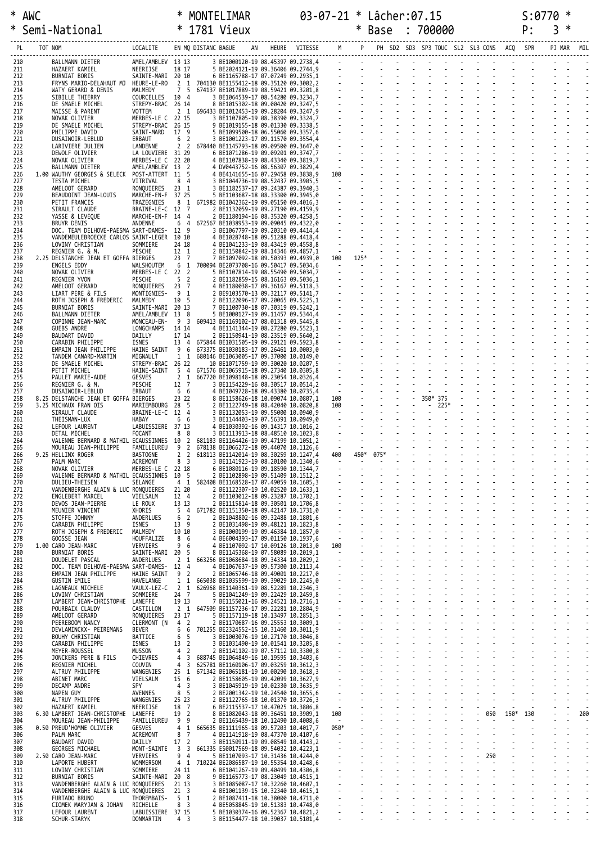|     | * AWC           |                                                                                                     | MONTELIMAR |  |  |      |  | 03-07-21 * Lâcher:07.15 |  |  | $\cdot$ a770                                     |  |
|-----|-----------------|-----------------------------------------------------------------------------------------------------|------------|--|--|------|--|-------------------------|--|--|--------------------------------------------------|--|
|     | * Semi-National | * 1781 Vieux                                                                                        |            |  |  | Base |  | 700000                  |  |  | $\mathsf{p}$ $\cdot$ $\cdot$ $\mathsf{p}$ $\ast$ |  |
|     | TOT NOM<br>PL   | LOCALITE EN MODISTANCEBAGUE AN HEURE VITESSE MPPPH SD2 SD3 SP3 TOUC SL2 SL3 CONS ACO SPRPPJ MAR MIL |            |  |  |      |  |                         |  |  |                                                  |  |
| 210 | BALLMANN DIETER |                                                                                                     |            |  |  |      |  |                         |  |  |                                                  |  |

| PL         | TOT NOM                                                                                 | LOCALITE                               |                                                   | EN MQ DISTANC BAGUE | AN                                                                                   | HEURE | VITESSE |                               |            |      |          |                         | PH SD2 SD3 SP3 TOUC SL2 SL3 CONS | ACQ  | SPR | PJ MAR | MIL |
|------------|-----------------------------------------------------------------------------------------|----------------------------------------|---------------------------------------------------|---------------------|--------------------------------------------------------------------------------------|-------|---------|-------------------------------|------------|------|----------|-------------------------|----------------------------------|------|-----|--------|-----|
| 210        | BALLMANN DIETER                                                                         | AMEL/AMBLEV 13 13                      |                                                   |                     | 3 BE1000120-19 08.45397 09.2738,4                                                    |       |         |                               |            |      |          |                         |                                  |      |     |        |     |
| 211<br>212 | HAZAERT KAMIEL<br>BURNIAT BORIS                                                         | NEERIJSE<br>SAINTE-MARI 20 10          | 18 17                                             |                     | 5 BE2024121-19 09.36406 09.2744,9<br>6 BE1165788-17 07.07249 09.2935,1               |       |         |                               |            |      |          |                         |                                  |      |     |        |     |
| 213<br>214 | FRYNS MARIO-DELAHAUT MJ<br>WATY GERARD & DENIS                                          | HEURE-LE-RO<br>MALMEDY                 | 7 <sub>5</sub>                                    |                     | 2 1 704130 BE1155412-18 09.35120 09.3002,2<br>674137 BE1017889-19 08.59421 09.3201,8 |       |         |                               |            |      |          |                         |                                  |      |     |        |     |
| 215        | SIBILLE THIERRY                                                                         | COURCELLES 10 4                        |                                                   |                     | 3 BE1064539-17 08.54280 09.3234,7                                                    |       |         |                               |            |      |          |                         |                                  |      |     |        |     |
| 216<br>217 | DE SMAELE MICHEL<br>MAISSE & PARENT                                                     | STREPY-BRAC 26 14<br>VOTTEM            |                                                   |                     | 8 BE1015302-18 09.00420 09.3247,5<br>2 1 696433 BE1012453-19 09.28204 09.3247,9      |       |         |                               |            |      |          |                         |                                  |      |     |        |     |
| 218<br>219 | NOVAK OLIVIER<br>DE SMAELE MICHEL                                                       | MERBES-LE C 22 15<br>STREPY-BRAC 26 15 |                                                   |                     | 3 BE1107805-19 08.38390 09.3324,7<br>9 BE1019155-18 09.01330 09.3338,5               |       |         |                               |            |      |          |                         |                                  |      |     |        |     |
| 220        | PHILIPPE DAVID                                                                          | SAINT-MARD 17 9                        |                                                   |                     | 5 BE1099500-18 06.55060 09.3357,6                                                    |       |         |                               |            |      |          |                         |                                  |      |     |        |     |
| 221<br>222 | DUSAIWOIR-LEBLUD<br>LARIVIERE JULIEN                                                    | ERBAUT<br>LANDENNE                     | 6 <sup>2</sup><br>2 <sub>2</sub>                  |                     | 3 BE1001223-17 09.11570 09.3554,4<br>678440 BE1145793-18 09.09500 09.3647,0          |       |         |                               |            |      |          |                         |                                  |      |     |        |     |
| 223<br>224 | DEWOLF OLIVIER<br>NOVAK OLIVIER                                                         | LA LOUVIERE 31 29<br>MERBES-LE C 22 20 |                                                   |                     | 6 BE1071286-19 09.09201 09.3747,7<br>4 BE1107838-19 08.43340 09.3819,7               |       |         |                               |            |      |          |                         |                                  |      |     |        |     |
| 225        | BALLMANN DIETER                                                                         | AMEL/AMBLEV 13 2                       |                                                   |                     | 4 DV0443752-16 08.56307 09.3829,4                                                    |       |         |                               |            |      |          |                         |                                  |      |     |        |     |
| 226<br>227 | 1.00 WAUTHY GEORGES & SELECK<br>TESTA MICHEL                                            | POST-ATTERT 11 5<br>VITRIVAL           | 8 <sub>4</sub>                                    |                     | 4 BE4141655-16 07.29458 09.3838,9<br>3 BE1044736-19 08.52437 09.3905,5               |       |         |                               |            |      |          |                         |                                  |      |     |        |     |
| 228        | AMELOOT GERARD                                                                          | RONQUIERES<br>MARCHE-EN-F 37 25        | $23 \quad 1$                                      |                     | 3 BE1182537-17 09.24387 09.3940,3                                                    |       |         |                               |            |      |          |                         |                                  |      |     |        |     |
| 229<br>230 | BEAUDOINT JEAN-LOUIS<br>PETIT FRANCIS                                                   | TRAZEGNIES                             |                                                   |                     | 5 BE1103687-18 08.33300 09.3945,0<br>8 1 671982 BE1042362-19 09.05150 09.4016,3      |       |         |                               |            |      |          |                         |                                  |      |     |        |     |
| 231<br>232 | SIRAULT CLAUDE<br>YASSE & LEVEQUE                                                       | BRAINE-LE-C 12 7<br>MARCHE-EN-F 14 4   |                                                   |                     | 2 BE1132059-19 09.27190 09.4159,9<br>2 BE1180194-16 08.35320 09.4258,5               |       |         |                               |            |      |          |                         |                                  |      |     |        |     |
| 233        | BRUYR DENIS                                                                             | ANDENNE                                | 6 <sub>4</sub>                                    |                     | 672567 BE1038953-19 09.09045 09.4322,0                                               |       |         |                               |            |      |          |                         |                                  |      |     |        |     |
| 234<br>235 | DOC. TEAM DELHOVE-PAESMA SART-DAMES- 12 9<br>VANDEMEULEBROECKE CARLOS SAINT-LEGER 10 10 |                                        |                                                   |                     | 3 BE1067797-19 09.20310 09.4414,4<br>4 BE1028748-18 09.51288 09.4418,4               |       |         |                               |            |      |          |                         |                                  |      |     |        |     |
| 236<br>237 | LOVINY CHRISTIAN<br>REGNIER G. & M.                                                     | SOMMIERE<br>PESCHE                     | 24 18<br>12 1                                     |                     | 4 BE1041233-19 08.43419 09.4558,8<br>2 BE1150842-19 08.14346 09.4857,1               |       |         | $\sim 10^{-1}$                |            |      |          |                         |                                  |      |     |        |     |
| 238        | 2.25 DELSTANCHE JEAN ET GOFFA BIERGES                                                   |                                        | 23 7                                              |                     | 7 BE1097092-18 09.50393 09.4939,0                                                    |       |         | 100                           | $125*$     |      |          |                         |                                  |      |     |        |     |
| 239<br>240 | ENGELS EDDY<br>NOVAK OLIVIER                                                            | WALSHOUTEM<br>MERBES-LE C 22 2         |                                                   |                     | 6 1 700094 BE2073708-16 09.50417 09.5034,6<br>5 BE1107814-19 08.55490 09.5034,7      |       |         |                               | $\sim 100$ |      |          |                         |                                  |      |     |        |     |
| 241<br>242 | REGNIER YVON<br>AMELOOT GERARD                                                          | PESCHE<br>RONQUIERES                   | 5 <sub>2</sub><br>23 7                            |                     | 2 BE1182859-15 08.16163 09.5036,1<br>4 BE1180038-17 09.36167 09.5118,3               |       |         |                               |            |      |          |                         |                                  |      |     |        |     |
| 243        | LIART PERE & FILS                                                                       | MONTIGNIES-                            | 91                                                |                     | 2 BE9103570-13 09.32117 09.5141,7                                                    |       |         |                               |            |      |          |                         |                                  |      |     |        |     |
| 244<br>245 | ROTH JOSEPH & FREDERIC<br>BURNIAT BORIS                                                 | MALMEDY<br>SAINTE-MARI 20 13           | 10 5                                              |                     | 2 BE1122096-17 09.20065 09.5225,1<br>7 BE1100730-18 07.30319 09.5242,1               |       |         |                               |            |      |          |                         |                                  |      |     |        |     |
| 246<br>247 | BALLMANN DIETER<br>COPINNE JEAN-MARC                                                    | AMEL/AMBLEV 13 8<br>MONCEAU-EN-        | 9 <sub>3</sub>                                    |                     | 5 BE1000127-19 09.11457 09.5344,4<br>609413 BE1169102-17 08.01318 09.5445,8          |       |         |                               |            |      |          |                         |                                  |      |     |        |     |
| 248        | GUEBS ANDRE                                                                             | LONGCHAMPS                             | 14 14                                             |                     | 4 BE1141344-19 08.27280 09.5523,1                                                    |       |         |                               |            |      |          |                         |                                  |      |     |        |     |
| 249<br>250 | BAUDART DAVID<br>CARABIN PHILIPPE                                                       | DAILLY<br>ISNES                        | 17 14<br>13 4                                     |                     | 2 BE1150941-19 08.23519 09.5640,2<br>675844 BE1031505-19 09.29121 09.5923,8          |       |         |                               |            |      |          |                         |                                  |      |     |        |     |
| 251        | EMPAIN JEAN PHILIPPE                                                                    | HAINE SAINT                            | 9 6                                               |                     | 673375 BE1030183-17 09.26461 10.0003,0                                               |       |         |                               |            |      |          |                         |                                  |      |     |        |     |
| 252<br>253 | TANDEM CANARD-MARTIN<br>DE SMAELE MICHEL                                                | MIGNAULT<br>STREPY-BRAC 26 22          | $1\quad1$                                         |                     | 680146 BE1063005-17 09.37000 10.0149,0<br>10 BE1071759-19 09.30020 10.0207,5         |       |         |                               |            |      |          |                         |                                  |      |     |        |     |
| 254<br>255 | PETIT MICHEL<br>PAULET MARIE-AUDE                                                       | HAINE-SAINT<br>GESVES                  | 5 4<br>2 <sub>1</sub>                             |                     | 671576 BE1065915-18 09.27340 10.0305,8<br>667720 BE1098148-18 09.23054 10.0326,4     |       |         |                               |            |      |          |                         |                                  |      |     |        |     |
| 256        | REGNIER G. & M.                                                                         | PESCHE                                 | 12 7                                              |                     | 3 BE1154229-16 08.30517 10.0514,2                                                    |       |         |                               |            |      |          |                         |                                  |      |     |        |     |
| 257<br>258 | DUSAIWOIR-LEBLUD<br>8.25 DELSTANCHE JEAN ET GOFFA BIERGES                               | ERBAUT                                 | 6 6<br>23 22                                      |                     | 4 BE1049728-18 09.43380 10.0735,4<br>8 BE1158626-18 10.09074 10.0807,1               |       |         |                               |            |      |          |                         |                                  |      |     |        |     |
| 259<br>260 | 3.25 MICHAUX FRAN OIS<br>SIRAULT CLAUDE                                                 | MARIEMBOURG 28 5<br>BRAINE-LE-C 12 4   |                                                   |                     | 2 BE1122749-18 08.42040 10.0820,8<br>3 BE1132053-19 09.55000 10.0940,9               |       |         | 100                           |            |      | $\omega$ | $-225*$                 |                                  |      |     |        |     |
| 261        | THE ISMAN-LUX                                                                           | HABAY                                  | 6 6                                               |                     | 3 BE1144403-19 07.56391 10.0949,0                                                    |       |         | $\mathcal{L}^{\mathcal{L}}$ . |            |      |          |                         |                                  |      |     |        |     |
| 262<br>263 | LEFOUR LAURENT<br>DETAL MICHEL                                                          | LABUISSIERE 37 13<br>FOCANT            | 8 8                                               |                     | 4 BE1030392-16 09.14317 10.1016,2<br>3 BE1113913-18 08.48510 10.1023,8               |       |         |                               |            |      |          |                         |                                  |      |     |        |     |
| 264<br>265 | VALENNE BERNARD & MATHIL ECAUSSINNES 10<br>MOUREAU JEAN-PHILIPPE                        | FAMILLEUREU                            | $\overline{2}$<br>$\overline{2}$<br>9             |                     | 681183 BE1164426-19 09.47199 10.1051,2                                               |       |         | $\frac{1}{2}$                 | $\sim$     |      |          |                         |                                  |      |     |        |     |
| 266        | 9.25 HELLINX ROGER                                                                      | <b>BASTOGNE</b>                        | 2 <sub>2</sub>                                    |                     | 678138 BE1066272-18 09.44070 10.1126,6<br>618113 BE1142014-19 08.30259 10.1247,4     |       |         | 400                           | 450*       | 075* |          |                         |                                  |      |     |        |     |
| 267<br>268 | PALM MARC<br>NOVAK OLIVIER                                                              | ACREMONT<br>MERBES-LE C 22 18          | 8 <sup>3</sup>                                    |                     | 3 BE1141923-19 08.20100 10.1340,6<br>6 BE1080116-19 09.18590 10.1344,7               |       |         | $\sim$                        | $\sim$     |      |          |                         |                                  |      |     |        |     |
| 269        | VALENNE BERNARD & MATHIL ECAUSSINNES 10 5                                               |                                        |                                                   |                     | 2 BE1102898-19 09.51409 10.1512,2                                                    |       |         |                               |            |      |          |                         |                                  |      |     |        |     |
| 270<br>271 | DULIEU-THEISEN<br>VANDENBERGHE ALAIN & LUC RONQUIERES                                   | SELANGE                                | 4 1<br>21 20                                      |                     | 582408 BE1168528-17 07.49059 10.1605,3<br>2 BE1122307-19 10.02520 10.1633,1          |       |         |                               |            |      |          |                         |                                  |      |     |        |     |
| 272<br>273 | ENGLEBERT MARCEL<br>DEVOS JEAN-PIERRE                                                   | VIELSALM<br>LE ROUX                    | 12 4<br>13 13                                     |                     | 2 BE1103012-18 09.23287 10.1702,1<br>2 BE1115814-18 09.30501 10.1706,8               |       |         |                               |            |      |          |                         |                                  |      |     |        |     |
| 274        | MEUNIER VINCENT                                                                         | XHORIS                                 | 5 <sub>4</sub>                                    |                     | 671782 BE1151350-18 09.42147 10.1731,0                                               |       |         |                               |            |      |          |                         |                                  |      |     |        |     |
| 275<br>276 | STOFFE JOHNNY<br>CARABIN PHILIPPE                                                       | ANDERLUES<br>ISNES                     | 6<br>$\overline{2}$<br>13 9                       |                     | 2 BE1048802-16 09.32488 10.1801,6<br>2 BE1031498-19 09.48121 10.1823,8               |       |         |                               |            |      |          |                         |                                  |      |     |        |     |
| 277<br>278 | ROTH JOSEPH & FREDERIC<br>GOOSSE JEAN                                                   | MALMEDY<br>HOUFFALIZE                  | 10 10<br>8 6                                      |                     | 3 BE1000199-19 09.46384 10.1857,0<br>4 BE6004393-17 09.01150 10.1937,6               |       |         |                               |            |      |          |                         |                                  |      |     |        |     |
| 279        | 1.00 CARO JEAN-MARC                                                                     | VERVIERS                               | 9 6                                               |                     | 4 BE1107092-17 10.09126 10.2013,0                                                    |       |         | 100                           |            |      |          |                         |                                  |      |     |        |     |
| 280<br>281 | BURNIAT BORIS<br>DOUDELET PASCAL                                                        | SAINTE-MARI 20<br>ANDERLUES            | - 5<br>2 <sub>1</sub>                             |                     | 8 BE1145368-19 07.58089 10.2019,1<br>663256 BE1068684-18 09.34334 10.2029,2          |       |         | $\sim 10^{-10}$ km $^{-1}$    |            |      |          |                         |                                  |      |     |        |     |
| 282        | DOC. TEAM DELHOVE-PAESMA SART-DAMES- 12 4<br>EMPAIN JEAN PHILIPPE                       |                                        | 9 <sub>2</sub>                                    |                     | 4 BE1067637-19 09.57300 10.2113,4                                                    |       |         |                               |            |      |          |                         |                                  |      |     |        |     |
| 283<br>284 | <b>GUSTIN EMILE</b>                                                                     | HAINE SAINT<br>HAVELANGE               | $1\quad1$                                         |                     | 2 BE1065746-18 09.49001 10.2217,0<br>665038 BE1035599-19 09.39029 10.2245,0          |       |         |                               |            |      |          |                         |                                  |      |     |        |     |
| 285<br>286 | LAGNEAUX MICHELE<br>LOVINY CHRISTIAN                                                    | VAULX-LEZ-C<br>SOMMIERE                | 2 <sub>1</sub><br>24 7                            |                     | 626968 BE1140361-19 08.52289 10.2346,3<br>5 BE1041249-19 09.22429 10.2459,8          |       |         |                               |            |      |          |                         |                                  |      |     |        |     |
| 287        | LAMBERT JEAN-CHRISTOPHE                                                                 | LANEFFE<br>CASTILLON                   | 19 13                                             |                     | 7 BE1155021-16 09.24521 10.2716,1                                                    |       |         |                               |            |      |          |                         |                                  |      |     |        |     |
| 288<br>289 | POURBAIX CLAUDY<br>AMELOOT GERARD                                                       | RONQUIERES                             | 2 <sub>1</sub><br>23 17                           |                     | 647509 BE1157236-17 09.22281 10.2804,9<br>5 BE1157119-18 10.13497 10.2851.3          |       |         |                               |            |      |          |                         |                                  |      |     |        |     |
| 290<br>291 | PEEREBOOM NANCY<br>DEVLAMINCKX- PEIREMANS                                               | CLERMONT (N<br>BEVER                   | 4 2<br>6 6                                        |                     | 2 BE1170687-16 09.25553 10.3009,1<br>701255 BE2324552-15 10.31460 10.3011,9          |       |         |                               |            |      |          |                         |                                  |      |     |        |     |
| 292        | BOUHY CHRISTIAN                                                                         | BATTICE                                | 6<br>-5                                           |                     | 3 BE1003076-19 10.27170 10.3046,8                                                    |       |         |                               |            |      |          |                         |                                  |      |     |        |     |
| 293<br>294 | CARABIN PHILIPPE<br>MEYER-ROUSSEL                                                       | ISNES<br>MUSSON                        | 13 2<br>$\overline{2}$<br>4                       |                     | 3 BE1031490-19 10.01541 10.3205,8<br>2 BE1141102-19 07.57112 10.3300,8               |       |         |                               |            |      |          |                         |                                  |      |     |        |     |
| 295<br>296 | JONCKERS PERE & FILS<br>REGNIER MICHEL                                                  | CHIEVRES<br>COUVIN                     | $\overline{3}$<br>4<br>4<br>$\overline{3}$        |                     | 688745 BE1064849-16 10.19595 10.3403,6<br>625781 BE1160106-17 09.03259 10.3612,3     |       |         |                               |            |      |          | $\sim 10$               |                                  |      |     |        |     |
| 297        | ALTRUY PHILIPPE                                                                         | WANGENIES                              | 25<br><sup>1</sup>                                |                     | 671342 BE1065181-19 10.00290 10.3618,3                                               |       |         |                               |            |      |          |                         |                                  |      |     |        |     |
| 298<br>299 | ABINET MARC<br>DECAMP ANDRE                                                             | VIELSALM<br>SPY                        | 15 6<br>$\overline{4}$<br>$\overline{\mathbf{3}}$ |                     | 2 BE1158605-19 09.42099 10.3627,9<br>3 BE1045919-19 10.02330 10.3635,9               |       |         |                               |            |      |          |                         |                                  |      |     |        |     |
| 300<br>301 | NAPEN GUY<br>ALTRUY PHILIPPE                                                            | AVENNES<br>WANGENIES                   | 8 5<br>25 23                                      |                     | 2 BE2001342-19 10.24540 10.3655,6<br>2 BE1122765-18 10.01370 10.3726,3               |       |         |                               |            |      |          |                         |                                  |      |     |        |     |
| 302        | HAZAERT KAMIEL                                                                          | NEERIJSE                               | 18 7                                              |                     | 6 BE2115537-17 10.47025 10.3806,8                                                    |       |         | $\sim 10^{-10}$               |            |      |          |                         |                                  |      |     |        |     |
| 303<br>304 | 6.30 LAMBERT JEAN-CHRISTOPHE<br>MOUREAU JEAN-PHILIPPE                                   | LANEFFE<br>FAMILLEUREU                 | 19 2<br>9<br>9                                    |                     | 8 BE1082043-18 09.36451 10.3909,1<br>2 BE1165439-18 10.12490 10.4008,6               |       |         | 100<br><b>Contract</b>        |            |      |          |                         | 050<br>$\sim$                    | 150* | 130 |        | 200 |
| 305        | 0.50 PREUD'HOMME OLIVIER                                                                | GESVES                                 | $4\quad1$                                         |                     | 665635 BE1111965-18 09.57203 10.4017,7                                               |       |         | 050*                          |            |      |          |                         |                                  |      |     |        |     |
| 306<br>307 | PALM MARC<br>BAUDART DAVID                                                              | ACREMONT<br>DAILLY                     | 8<br>$\overline{7}$<br>17 <sup>2</sup>            |                     | 4 BE1141918-19 08.47370 10.4107,6<br>3 BE1150911-19 09.08549 10.4143,2               |       |         | $\frac{1}{2}$                 |            |      |          |                         |                                  |      |     |        |     |
| 308<br>309 | GEORGES MICHAEL<br>2.50 CARO JEAN-MARC                                                  | MONT-SAINTE<br>VERVIERS                | 3 <sup>3</sup><br>94                              |                     | 661335 ES0017569-18 09.54032 10.4223,1<br>5 BE1107093-17 10.31436 10.4244,0          |       |         |                               |            |      |          | $\sim$<br>$\frac{1}{2}$ | $\frac{1}{2}$ $\frac{1}{250}$    |      |     |        |     |
| 310        | LAPORTE HUBERT                                                                          | WOMMERSOM                              | 4 <sub>1</sub>                                    |                     | 710224 BE2086587-19 10.55354 10.4248,6                                               |       |         |                               |            |      |          |                         | $\omega_{\rm{max}}$              |      |     |        |     |
| 311<br>312 | LOVINY CHRISTIAN<br><b>BURNIAT BORIS</b>                                                | SOMMIERE<br>SAINTE-MARI 20 8           | 24 11                                             |                     | 6 BE1041267-19 09.40499 10.4306,8<br>9 BE1165773-17 08.23049 10.4515,1               |       |         |                               |            |      |          |                         |                                  |      |     |        |     |
| 313<br>314 | VANDENBERGHE ALAIN & LUC RONQUIERES<br>VANDENBERGHE ALAIN & LUC RONQUIERES              |                                        | 21 13<br>$21 \quad 3$                             |                     | 3 BE1085087-17 10.32260 10.4607,1<br>4 BE1001139-15 10.32340 10.4615,1               |       |         |                               |            |      |          |                         |                                  |      |     |        |     |
| 315        | FURTADO BRUNO                                                                           | THOREMBAIS-                            | 5 1                                               |                     | 2 BE1087411-18 10.38000 10.4711,0                                                    |       |         |                               |            |      |          |                         | diamatic                         |      |     |        |     |
| 316<br>317 | CIOMEK MARYJAN & JOHAN<br>LEFOUR LAURENT                                                | RICHELLE<br>LABUISSIERE 37 15          | 8 <sup>3</sup>                                    |                     | 4 BE5058845-19 10.51383 10.4748,0<br>5 BE1030374-16 09.52367 10.4821,2               |       |         |                               |            |      |          |                         |                                  |      |     |        |     |
| 318        | SCHUR-STARYK                                                                            | DONMARTIN                              | 4 <sup>3</sup>                                    |                     | 3 BE1154477-18 10.39037 10.5101,4                                                    |       |         |                               |            |      |          |                         |                                  |      |     |        |     |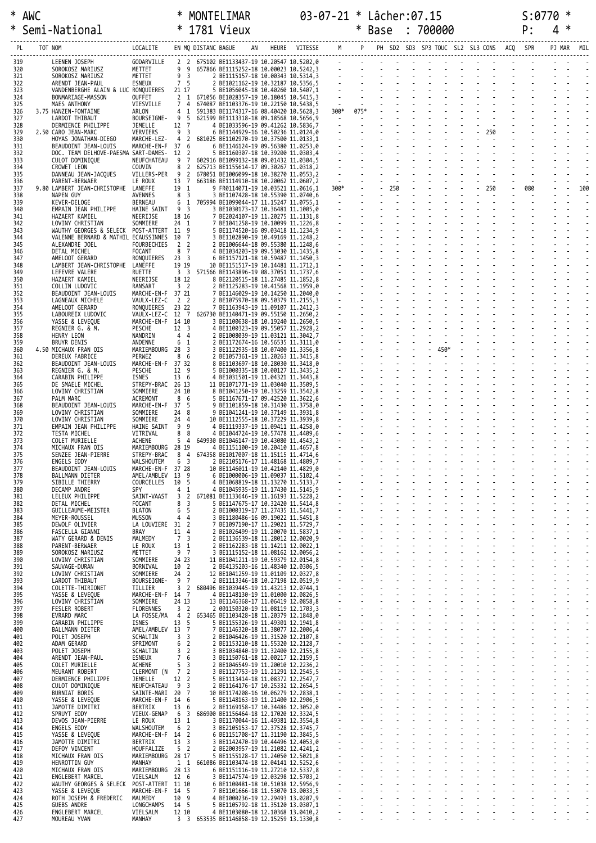|            | * AWC * MONTELIMAR * 03-07-21 * Lâcher:07.15 5:0770 *<br>* Semi-National * 1781 Vieux * Base : 700000 P: 4 *<br>PL TOT NOM LOCALITE EN MQ DISTANC BAGUE AN HEURE VITESSE M P PH SD2 SD3 SP3 TOUC SL2 SL3 CONS ACQ SPR PJ MAR MIL<br> |                                     |                              |                                  |                                                                             |  |  |               |                                   |  |  |     |
|------------|--------------------------------------------------------------------------------------------------------------------------------------------------------------------------------------------------------------------------------------|-------------------------------------|------------------------------|----------------------------------|-----------------------------------------------------------------------------|--|--|---------------|-----------------------------------|--|--|-----|
| 319        | --------------------<br>LEENEN JOSEPH<br>SOROKOSZ MARIUSZ<br>APENNT TEAN-PAUJ                                                                                                                                                        |                                     |                              |                                  |                                                                             |  |  |               |                                   |  |  |     |
| 320<br>321 |                                                                                                                                                                                                                                      |                                     |                              |                                  |                                                                             |  |  |               |                                   |  |  |     |
| 322        | ARENDT JEAN-PAUL                                                                                                                                                                                                                     |                                     |                              |                                  |                                                                             |  |  |               |                                   |  |  |     |
| 323<br>324 | VANDENBERGHE ALAIN & LUC RONQUIERES 21 17 5 BE1056045-18 10.40260 10.5407,1<br>BONMARIAGE-MASSON                                                                                                                                     |                                     |                              |                                  |                                                                             |  |  |               |                                   |  |  |     |
| 325        | MAES ANTHONY                                                                                                                                                                                                                         |                                     |                              |                                  |                                                                             |  |  |               |                                   |  |  |     |
| 326<br>327 | 3.75 HANZEN-FONTAINE<br>LARDOT THIBAUT                                                                                                                                                                                               |                                     |                              |                                  |                                                                             |  |  |               |                                   |  |  |     |
| 328<br>329 | DERMIENCE PHILIPPE<br>2.50 CARO JEAN-MARC                                                                                                                                                                                            |                                     |                              |                                  |                                                                             |  |  |               |                                   |  |  |     |
| 330        | HOYAS JONATHAN-DIEGO                                                                                                                                                                                                                 |                                     |                              |                                  |                                                                             |  |  |               |                                   |  |  |     |
| 331<br>332 | BEAUDOINT JEAN-LOUIS<br>DOC. TEAM DELHOVE-PAESMA SART-DAMES- 12 2                                                                                                                                                                    |                                     |                              |                                  |                                                                             |  |  |               |                                   |  |  |     |
| 333        | CULOT DOMINIQUE                                                                                                                                                                                                                      |                                     |                              |                                  |                                                                             |  |  |               |                                   |  |  |     |
| 334<br>335 | CROWET LEON<br>DANNEAU JEAN-JACQUES                                                                                                                                                                                                  |                                     |                              |                                  |                                                                             |  |  |               |                                   |  |  |     |
| 336        | PARENT-BERWAER<br>9.80 LAMBERT JEAN-CHRISTOPHE LANEFFE                                                                                                                                                                               |                                     |                              |                                  |                                                                             |  |  |               |                                   |  |  | 100 |
| 337<br>338 | NAPEN GUY                                                                                                                                                                                                                            |                                     |                              |                                  |                                                                             |  |  |               |                                   |  |  |     |
| 339<br>340 | KEVER-DELOGE<br>EMPAIN JEAN PHILIPPE                                                                                                                                                                                                 |                                     |                              |                                  |                                                                             |  |  |               |                                   |  |  |     |
| 341        | HAZAERT KAMIEL                                                                                                                                                                                                                       |                                     |                              |                                  |                                                                             |  |  |               |                                   |  |  |     |
| 342<br>343 | LOVINY CHRISTIAN<br>WAUTHY GEORGES & SELECK POST-ATTERT 11 9                                                                                                                                                                         |                                     |                              |                                  |                                                                             |  |  |               |                                   |  |  |     |
| 344        | VALENNE BERNARD & MATHIL ECAUSSINNES 10 7                                                                                                                                                                                            |                                     |                              |                                  |                                                                             |  |  |               |                                   |  |  |     |
| 345<br>346 | ALEXANDRE JOEL<br>DETAL MICHEL                                                                                                                                                                                                       |                                     |                              |                                  |                                                                             |  |  |               |                                   |  |  |     |
| 347        | AMELOOT GERARD                                                                                                                                                                                                                       |                                     |                              |                                  |                                                                             |  |  |               |                                   |  |  |     |
| 348<br>349 | LAMBERT JEAN-CHRISTOPHE LANEFFE<br>LEFEVRE VALERE                                                                                                                                                                                    |                                     |                              |                                  |                                                                             |  |  |               |                                   |  |  |     |
| 350        | HAZAERT KAMIEL                                                                                                                                                                                                                       |                                     |                              |                                  |                                                                             |  |  |               |                                   |  |  |     |
| 351<br>352 | COLLIN LUDOVIC<br>BEAUDOINT JEAN-LOUIS                                                                                                                                                                                               |                                     |                              |                                  |                                                                             |  |  |               |                                   |  |  |     |
| 353        | LAGNEAUX MICHELE                                                                                                                                                                                                                     |                                     |                              |                                  |                                                                             |  |  |               |                                   |  |  |     |
| 354<br>355 | AMELOOT GERARD<br>LABOUREIX LUDOVIC                                                                                                                                                                                                  |                                     |                              |                                  |                                                                             |  |  |               |                                   |  |  |     |
| 356        | YASSE & LEVEQUE                                                                                                                                                                                                                      |                                     |                              |                                  |                                                                             |  |  |               |                                   |  |  |     |
| 357<br>358 | REGNIER G. & M.<br>HENRY LEON                                                                                                                                                                                                        |                                     |                              |                                  |                                                                             |  |  |               |                                   |  |  |     |
| 359<br>360 | BRUYR DENIS                                                                                                                                                                                                                          |                                     |                              |                                  |                                                                             |  |  |               |                                   |  |  |     |
| 361        | 4.50 MICHAUX FRAN OIS<br>DEREUX FABRICE                                                                                                                                                                                              |                                     |                              |                                  |                                                                             |  |  |               |                                   |  |  |     |
| 362<br>363 | BEAUDOINT JEAN-LOUIS<br>REGNIER G. & M.                                                                                                                                                                                              |                                     |                              |                                  |                                                                             |  |  |               |                                   |  |  |     |
| 364        | CARABIN PHILIPPE                                                                                                                                                                                                                     |                                     |                              |                                  |                                                                             |  |  |               |                                   |  |  |     |
| 365<br>366 | DE SMAELE MICHEL<br>LOVINY CHRISTIAN                                                                                                                                                                                                 |                                     |                              |                                  |                                                                             |  |  |               |                                   |  |  |     |
| 367        | PALM MARC                                                                                                                                                                                                                            |                                     |                              |                                  |                                                                             |  |  |               |                                   |  |  |     |
| 368<br>369 | BEAUDOINT JEAN-LOUIS<br>LOVINY CHRISTIAN                                                                                                                                                                                             |                                     |                              |                                  |                                                                             |  |  |               |                                   |  |  |     |
| 370        | LOVINY CHRISTIAN                                                                                                                                                                                                                     |                                     |                              |                                  |                                                                             |  |  |               |                                   |  |  |     |
| 371<br>372 | EMPAIN JEAN PHILIPPE<br>TESTA MICHEL                                                                                                                                                                                                 |                                     |                              |                                  |                                                                             |  |  |               |                                   |  |  |     |
| 373        | COLET MURIELLE                                                                                                                                                                                                                       |                                     |                              |                                  |                                                                             |  |  |               |                                   |  |  |     |
| 374<br>375 | MICHAUX FRAN OIS<br>SENZEE JEAN-PIERRE                                                                                                                                                                                               | STREPY-BRAC                         |                              |                                  | 8 4 674358 BE1017007-18 11.15115 11.4714,6                                  |  |  |               |                                   |  |  |     |
| 376        | ENGELS EDDY                                                                                                                                                                                                                          | WALSHOUTEM                          | 6 3                          |                                  | 2 BE2105176-17 11.48168 11.4809,7                                           |  |  |               |                                   |  |  |     |
| 377<br>378 | BEAUDOINT JEAN-LOUIS<br>BALLMANN DIETER                                                                                                                                                                                              | MARCHE-EN-F 37 28<br>AMEL/AMBLEV    | 13 9                         |                                  | 10 BE1146011-19 10.42140 11.4829,0<br>6 BE1000006-19 11.09037 11.5102,4     |  |  |               |                                   |  |  |     |
| 379        | SIBILLE THIERRY                                                                                                                                                                                                                      | COURCELLES                          | 10 5                         |                                  | 4 BE1068819-18 11.13270 11.5133,7                                           |  |  |               |                                   |  |  |     |
| 380<br>381 | DECAMP ANDRE<br>LELEUX PHILIPPE                                                                                                                                                                                                      | <b>SPY</b><br>SAINT-VAAST           | 4<br>$\overline{\mathbf{3}}$ | $\overline{1}$<br>$\overline{2}$ | 4 BE1045935-19 11.17430 11.5145,9<br>671081 BE1133646-19 11.16193 11.5228.2 |  |  |               |                                   |  |  |     |
| 382<br>383 | DETAL MICHEL<br>GUILLEAUME-MEISTER                                                                                                                                                                                                   | FOCANT<br><b>BLATON</b>             | 8<br>6                       | $\overline{3}$<br>5              | 5 BE1147675-17 10.32420 11.5414,8<br>2 BE1000319-17 11.27435 11.5441,7      |  |  |               |                                   |  |  |     |
| 384        | MEYER-ROUSSEL                                                                                                                                                                                                                        | <b>MUSSON</b>                       | 4                            | $\overline{4}$                   | 3 BE1180486-16 09.19022 11.5451,8                                           |  |  |               |                                   |  |  |     |
| 385<br>386 | DEWOLF OLIVIER<br>FASCELLA GIANNI                                                                                                                                                                                                    | LA LOUVIERE 31 2<br>BRAY            | 11 4                         |                                  | 7 BE1097190-17 11.29021 11.5729,7<br>2 BE1026499-19 11.20070 11.5837,1      |  |  |               |                                   |  |  |     |
| 387        | WATY GERARD & DENIS                                                                                                                                                                                                                  | MALMEDY                             | 7 <sup>3</sup>               |                                  | 2 BE1136539-18 11.28012 12.0020,9                                           |  |  |               |                                   |  |  |     |
| 388<br>389 | PARENT-BERWAER<br>SOROKOSZ MARIUSZ                                                                                                                                                                                                   | LE ROUX<br>METTET                   | 13 1<br>9 7                  |                                  | 2 BE1162283-18 11.14211 12.0022,1<br>3 BE1115152-18 11.08162 12.0056,2      |  |  |               | <b>Carl Corporation</b>           |  |  |     |
| 390        | LOVINY CHRISTIAN                                                                                                                                                                                                                     | SOMMIERE                            | 24 23                        |                                  | 11 BE1041211-19 10.59379 12.0154,8                                          |  |  |               |                                   |  |  |     |
| 391<br>392 | SAUVAGE-DURAN<br>LOVINY CHRISTIAN                                                                                                                                                                                                    | BORNIVAL<br>SOMMIERE                | 10 2<br>24 2                 |                                  | 2 BE4135203-16 11.48340 12.0306,5<br>12 BE1041259-19 11.01109 12.0327,8     |  |  |               |                                   |  |  |     |
| 393        | LARDOT THIBAUT                                                                                                                                                                                                                       | BOURSEIGNE-                         | 9                            | $\overline{7}$                   | 2 BE1113346-18 10.27198 12.0519,9                                           |  |  |               |                                   |  |  |     |
| 394<br>395 | COLETTE-THIRIONET<br>YASSE & LEVEQUE                                                                                                                                                                                                 | TILLIER<br>MARCHE-EN-F 14 7         | 3 <sub>2</sub>               |                                  | 680496 BE1039445-19 11.43213 12.0744,1<br>4 BE1148130-19 11.01000 12.0826,5 |  |  |               |                                   |  |  |     |
| 396        | LOVINY CHRISTIAN                                                                                                                                                                                                                     | SOMMIERE                            | 24 13                        |                                  | 13 BE1146368-17 11.06419 12.0858,8                                          |  |  |               |                                   |  |  |     |
| 397<br>398 | <b>FESLER ROBERT</b><br>EVRARD MARC                                                                                                                                                                                                  | FLORENNES<br>LA FOSSE/MA            | 3 <sub>2</sub><br>4          | $\overline{2}$                   | 2 001150320-19 11.08119 12.1703,3<br>653465 BE1103428-18 11.20379 12.1848,0 |  |  |               |                                   |  |  |     |
| 399        | CARABIN PHILIPPE                                                                                                                                                                                                                     | <b>ISNES</b>                        | 13                           | 5                                | 5 BE1155326-19 11.49301 12.1941,8                                           |  |  |               | <b>Contract Contract Contract</b> |  |  |     |
| 400<br>401 | BALLMANN DIETER<br>POLET JOSEPH                                                                                                                                                                                                      | AMEL/AMBLEV 13 7<br>SCHALTIN        | 3 <sup>3</sup>               |                                  | 7 BE1146320-18 11.38077 12.2006,4<br>2 BE1046426-19 11.31520 12.2107,8      |  |  |               |                                   |  |  |     |
| 402        | ADAM GERARD                                                                                                                                                                                                                          | SPRIMONT                            | 6                            | $\overline{2}$                   | 2 BE1153210-18 11.55320 12.2128,7                                           |  |  |               |                                   |  |  |     |
| 403<br>404 | POLET JOSEPH<br>ARENDT JEAN-PAUL                                                                                                                                                                                                     | SCHALTIN<br>ESNEUX                  | 3<br>$7^{\circ}$             | $\frac{2}{6}$                    | 3 BE1034840-19 11.32400 12.2155,8<br>3 BE1150761-18 12.00217 12.2159,5      |  |  |               |                                   |  |  |     |
| 405        | COLET MURIELLE                                                                                                                                                                                                                       | ACHENE                              | 5                            | $\overline{\mathbf{3}}$          | 2 BE1046549-19 11.20010 12.2236,2                                           |  |  |               |                                   |  |  |     |
| 406<br>407 | MEURANT ROBERT<br>DERMIENCE PHILIPPE                                                                                                                                                                                                 | CLERMONT (N<br>JEMELLE              | $7\overline{ }$<br>12 2      | $\overline{2}$                   | 3 BE1127753-19 11.21291 12.2545,5<br>5 BE1113414-18 11.08372 12.2547,7      |  |  | $\mathcal{L}$ | and a straight and                |  |  |     |
| 408        | CULOT DOMINIQUE                                                                                                                                                                                                                      | NEUFCHATEAU                         | 9                            | $\overline{3}$                   | 2 BE1164176-17 10.25332 12.2654,5                                           |  |  |               |                                   |  |  |     |
| 409<br>410 | BURNIAT BORIS<br>YASSE & LEVEQUE                                                                                                                                                                                                     | SAINTE-MARI 20<br>MARCHE-EN-F 14 6  |                              | $\overline{7}$                   | 10 BE1174208-16 10.06279 12.2838,1<br>5 BE1148163-19 11.21400 12.2906,5     |  |  |               |                                   |  |  |     |
| 411        | JAMOTTE DIMITRI                                                                                                                                                                                                                      | BERTRIX                             | 13                           | 6                                | 2 BE1169158-17 10.34486 12.3052,0                                           |  |  | in a          | <b>Carl Street Control</b>        |  |  |     |
| 412<br>413 | SPRUYT EDDY<br>DEVOS JEAN-PIERRE                                                                                                                                                                                                     | VIEUX-GENAP<br>LE ROUX              | 6<br>13 1                    | 3                                | 686900 BE1156464-18 12.17020 12.3324,5<br>3 BE1170044-16 11.49381 12.3554,8 |  |  |               |                                   |  |  |     |
| 414<br>415 | ENGELS EDDY<br>YASSE & LEVEQUE                                                                                                                                                                                                       | <b>WALSHOUTEM</b><br>MARCHE-EN-F 14 | 6                            | $\overline{2}$<br>$\overline{2}$ | 3 BE2105153-17 12.37528 12.3745,7<br>6 BE1151708-17 11.31190 12.3845,5      |  |  |               |                                   |  |  |     |
| 416        | JAMOTTE DIMITRI                                                                                                                                                                                                                      | BERTRIX                             | 13                           | $\overline{\mathbf{3}}$          | 3 BE1142470-19 10.44496 12.4053,0                                           |  |  |               |                                   |  |  |     |
| 417<br>418 | DEFOY VINCENT<br>MICHAUX FRAN OIS                                                                                                                                                                                                    | HOUFFALIZE<br>MARIEMBOURG 28 17     | 5 <sub>2</sub>               |                                  | 2 BE2003957-19 11.21082 12.4241,2<br>5 BE1155128-17 11.24050 12.5021,8      |  |  |               |                                   |  |  |     |
|            |                                                                                                                                                                                                                                      |                                     |                              |                                  |                                                                             |  |  |               |                                   |  |  |     |

419 HENROTTIN GUY MANHAY 1 1 661086 BE1103474-18 12.04141 12.5252,6<br>420 MICHAUX FRAN OIS MARIEMBOURG 28 13 6 BE1151116-19 11.27210 12.5337,8<br>421 ENGLEBERT MARIEM WIELSALM 12 6 8 BE11647574-19 12.03298 12.5709,2<br>422 WAUTHY

425 GUEBS ANDRE LONGCHAMPS 14 5 5 BE1105792-18 11.35120 13.0307,1 - - - - - - - - - - - - - - - 426 ENGLEBERT MARCEL VIELSALM 12 10 4 BE1103080-18 12.10368 13.0410,2 - - - - - - - - - - - - - - - 427 MOUREAU YVAN MANHAY 3 3 653535 BE1146858-19 12.15259 13.1330,8 - - - - - - - - - - - - - - -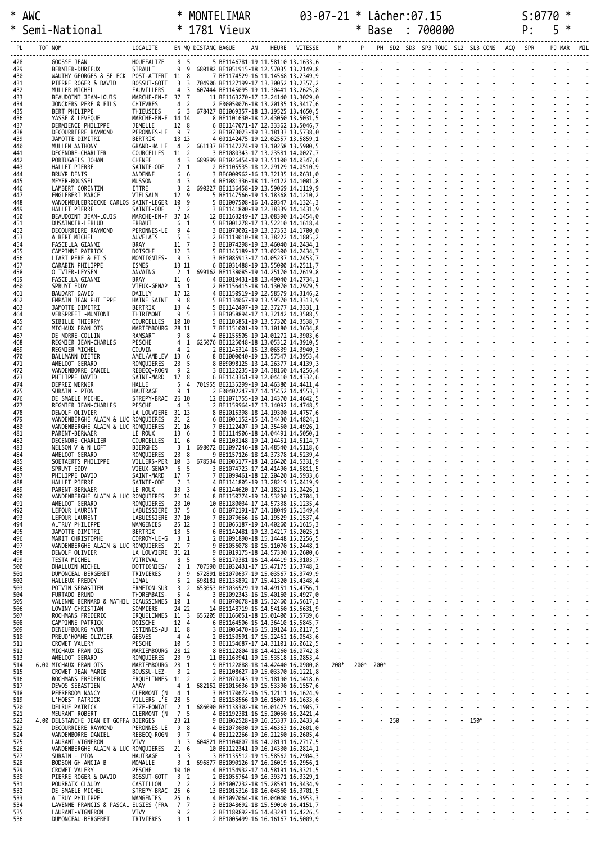\* AWC \* MONTELIMAR 03-07-21 \* Lâcher:07.15 S:0770 \* \* Semi-National \* 1781 Vieux \* Base : 700000 P: 5 \*

|            |                                                                            |                                 |                                     | $\begin{tabular}{cccccccccccc} \textbf{WE} & \textbf{M} & \textbf{M} & \textbf{M} & \textbf{M} & \textbf{M} & \textbf{M} & \textbf{M} & \textbf{M} & \textbf{M} & \textbf{M} & \textbf{M} & \textbf{M} & \textbf{M} & \textbf{M} & \textbf{M} & \textbf{M} & \textbf{M} & \textbf{M} & \textbf{M} & \textbf{M} & \textbf{M} & \textbf{M} & \textbf{M} & \textbf{M} & \textbf{M} & \textbf{M} & \textbf{M} & \textbf{M} & \textbf{M} &$ |  |                |                |      |        |  |  |                   |  |  |
|------------|----------------------------------------------------------------------------|---------------------------------|-------------------------------------|----------------------------------------------------------------------------------------------------------------------------------------------------------------------------------------------------------------------------------------------------------------------------------------------------------------------------------------------------------------------------------------------------------------------------------------|--|----------------|----------------|------|--------|--|--|-------------------|--|--|
| 428<br>429 | GOOSSE JEAN<br>BERNIER-DURIEUX                                             | HOUFFALIZE 8 5<br>SIRAULT 9 9   |                                     | 680182 BE1051915-18 12.57035 13.2149,8                                                                                                                                                                                                                                                                                                                                                                                                 |  |                |                |      |        |  |  |                   |  |  |
| 430<br>431 | WAUTHY GEORGES & SELECK POST-ATTERT 11 8<br>PIERRE ROGER & DAVID           | BOSSUT-GOTT                     |                                     | 3 3 704906 BE1127199-17 13.30052 13.2357,2                                                                                                                                                                                                                                                                                                                                                                                             |  |                |                |      |        |  |  |                   |  |  |
| 432<br>433 | MULLER MICHEL                                                              | FAUVILLERS<br>MARCHE-EN-F 37 7  | 4 <sup>3</sup>                      | 607444 BE1145095-19 11.30441 13.2625,8                                                                                                                                                                                                                                                                                                                                                                                                 |  |                |                |      |        |  |  |                   |  |  |
| 434        | BEAUDOINT JEAN-LOUIS<br>JONCKERS PERE & FILS                               | CHIEVRES                        | 4 <sub>2</sub>                      |                                                                                                                                                                                                                                                                                                                                                                                                                                        |  |                |                |      |        |  |  |                   |  |  |
| 435<br>436 | <b>BERT PHILIPPE</b><br>YASSE & LEVEQUE                                    | THIEUSIES<br>MARCHE-EN-F 14 14  | 6 <sup>3</sup>                      | 678427 BE1069357-18 13.19525 13.4650,5                                                                                                                                                                                                                                                                                                                                                                                                 |  |                |                |      |        |  |  |                   |  |  |
| 437<br>438 | DERMIENCE PHILIPPE<br>DECOURRIERE RAYMOND                                  | JEMELLE<br>PERONNES-LE 9 7      | 12 8                                |                                                                                                                                                                                                                                                                                                                                                                                                                                        |  |                |                |      |        |  |  |                   |  |  |
| 439<br>440 | JAMOTTE DIMITRI<br>MULLEN ANTHONY                                          | BERTRIX<br><b>GRAND-HALLE</b>   | 13 13                               | 4 2 661137 BE1147274-19 13.10258 13.5900,5                                                                                                                                                                                                                                                                                                                                                                                             |  |                |                |      |        |  |  |                   |  |  |
| 441<br>442 | DECENDRE-CHARLIER<br>PORTUGAELS JOHAN                                      | COURCELLES<br>CHENEE            | 11 2<br>4 <sup>3</sup>              | 689899 BE1026454-19 13.51100 14.0347,6                                                                                                                                                                                                                                                                                                                                                                                                 |  |                |                |      |        |  |  |                   |  |  |
| 443<br>444 | HALLET PIERRE<br>BRUYR DENIS                                               | SAINTE-ODE<br>ANDENNE           | 7 <sub>1</sub><br>6 6               |                                                                                                                                                                                                                                                                                                                                                                                                                                        |  |                |                |      |        |  |  |                   |  |  |
| 445<br>446 | MEYER-ROUSSEL                                                              | MUSSON<br>ITTRE                 | 4 <sup>3</sup>                      | 3 2 690227 BE1136458-19 13.59069 14.1119,9                                                                                                                                                                                                                                                                                                                                                                                             |  |                |                |      |        |  |  |                   |  |  |
| 447        | LAMBERT CORENTIN<br>ENGLEBERT MARCEL                                       | VIELSALM                        | 12 9                                |                                                                                                                                                                                                                                                                                                                                                                                                                                        |  |                |                |      |        |  |  |                   |  |  |
| 448<br>449 | VANDEMEULEBROECKE CARLOS SAINT-LEGER 10 9<br>HALLET PIERRE                 | SAINTE-ODE                      | 7 2                                 |                                                                                                                                                                                                                                                                                                                                                                                                                                        |  |                |                |      |        |  |  |                   |  |  |
| 450<br>451 | BEAUDOINT JEAN-LOUIS<br>DUSAIWOIR-LEBLUD                                   | MARCHE-EN-F 37 14<br>ERBAUT     | 6 <sub>1</sub>                      |                                                                                                                                                                                                                                                                                                                                                                                                                                        |  |                |                |      |        |  |  |                   |  |  |
| 452<br>453 | DECOURRIERE RAYMOND<br>ALBERT MICHEL                                       | PERONNES-LE<br>AUVELAIS         | 9 4<br>5 <sub>3</sub>               |                                                                                                                                                                                                                                                                                                                                                                                                                                        |  |                |                |      |        |  |  |                   |  |  |
| 454<br>455 | FASCELLA GIANNI<br>CAMPINNE PATRICK                                        | BRAY<br>DOISCHE                 | 11 7<br>12 <sup>3</sup>             |                                                                                                                                                                                                                                                                                                                                                                                                                                        |  |                |                |      |        |  |  |                   |  |  |
| 456<br>457 | LIART PERE & FILS<br>CARABIN PHILIPPE                                      | MONTIGNIES- 9 3<br>ISNES        | 13 11                               |                                                                                                                                                                                                                                                                                                                                                                                                                                        |  |                |                |      |        |  |  |                   |  |  |
| 458        | OLIVIER-LEYSEN                                                             | ANVAING                         |                                     | 2 1 699162 BE1138085-19 14.25170 14.2619,8                                                                                                                                                                                                                                                                                                                                                                                             |  |                |                |      |        |  |  |                   |  |  |
| 459<br>460 | FASCELLA GIANNI<br>SPRUYT EDDY                                             | BRAY<br>VIEUX-GENAP             | 11 6<br>6 1                         |                                                                                                                                                                                                                                                                                                                                                                                                                                        |  |                |                |      |        |  |  |                   |  |  |
| 461<br>462 | BAUDART DAVID<br>EMPAIN JEAN PHILIPPE                                      | DAILLY<br>HAINE SAINT 9 8       | 17 12                               |                                                                                                                                                                                                                                                                                                                                                                                                                                        |  |                |                |      |        |  |  |                   |  |  |
| 463<br>464 | JAMOTTE DIMITRI<br>VERSPREET -MUNTONI                                      | BERTRIX<br>THIRIMONT            | 13 4<br>9 <sub>5</sub>              |                                                                                                                                                                                                                                                                                                                                                                                                                                        |  |                |                |      |        |  |  |                   |  |  |
| 465<br>466 | SIBILLE THIERRY<br>MICHAUX FRAN OIS                                        | COURCELLES<br>MARIEMBOURG 28 11 | 10 10                               |                                                                                                                                                                                                                                                                                                                                                                                                                                        |  |                |                |      |        |  |  |                   |  |  |
| 467        | DE NORRE-COLLIN                                                            | RANSART                         | 9 8                                 |                                                                                                                                                                                                                                                                                                                                                                                                                                        |  |                |                |      |        |  |  |                   |  |  |
| 468<br>469 | REGNIER JEAN-CHARLES<br>REGNIER MICHEL                                     | PESCHE<br>COUVIN                | 4 <sub>2</sub>                      | 4 1 625076 BE1125048-18 13.05312 14.3910,5                                                                                                                                                                                                                                                                                                                                                                                             |  |                |                |      |        |  |  |                   |  |  |
| 470<br>471 | BALLMANN DIETER<br>AMELOOT GERARD                                          | AMEL/AMBLEV 13 6<br>RONQUIERES  | 23 <sub>5</sub>                     |                                                                                                                                                                                                                                                                                                                                                                                                                                        |  |                |                |      |        |  |  |                   |  |  |
| 472<br>473 | VANDENBORRE DANIEL<br>PHILIPPE DAVID                                       | REBECQ-ROGN<br>SAINT-MARD       | 9 <sub>2</sub><br>17 8              |                                                                                                                                                                                                                                                                                                                                                                                                                                        |  |                |                |      |        |  |  |                   |  |  |
| 474<br>475 | DEPREZ WERNER<br>SURAIN - PION                                             | HALLE<br>HAUTRAGE               | 5 <sub>4</sub><br>9 <sub>1</sub>    | 701955 BE2135299-19 14.46380 14.4411,4                                                                                                                                                                                                                                                                                                                                                                                                 |  |                |                |      |        |  |  |                   |  |  |
| 476        | DE SMAELE MICHEL                                                           | STREPY-BRAC 26 10               | 4 <sup>3</sup>                      |                                                                                                                                                                                                                                                                                                                                                                                                                                        |  |                |                |      |        |  |  |                   |  |  |
| 477<br>478 | REGNIER JEAN-CHARLES<br>DEWOLF OLIVIER                                     | PESCHE<br>LA LOUVIERE 31 13     |                                     |                                                                                                                                                                                                                                                                                                                                                                                                                                        |  |                |                |      |        |  |  |                   |  |  |
| 479<br>480 | VANDENBERGHE ALAIN & LUC RONQUIERES<br>VANDENBERGHE ALAIN & LUC RONOUIERES |                                 | 21 <sub>2</sub><br>21 16            |                                                                                                                                                                                                                                                                                                                                                                                                                                        |  |                |                |      |        |  |  |                   |  |  |
| 481<br>482 | PARENT-BERWAER<br>DECENDRE-CHARLIER                                        | LE ROUX<br>COURCELLES           | 13 6<br>11 6                        |                                                                                                                                                                                                                                                                                                                                                                                                                                        |  |                |                |      |        |  |  |                   |  |  |
| 483<br>484 | NELSON V & N LOFT<br>AMELOOT GERARD                                        | <b>BIERGHES</b><br>RONQUIERES   | 3 <sub>1</sub><br>23 8              | 698072 BE1097246-18 14.48540 14.5118,6                                                                                                                                                                                                                                                                                                                                                                                                 |  |                |                |      |        |  |  |                   |  |  |
| 485<br>486 | SOETAERTS PHILIPPE<br>SPRUYT EDDY                                          | VILLERS-PER<br>VIEUX-GENAP      | 10 3<br>6 5                         | 678534 BE1005177-18 14.26420 14.5331,9                                                                                                                                                                                                                                                                                                                                                                                                 |  |                |                |      |        |  |  |                   |  |  |
| 487        | PHILIPPE DAVID                                                             | SAINT-MARD                      | 17 <sub>7</sub>                     | 7 BE1099461-18 12.20420 14.5933,6                                                                                                                                                                                                                                                                                                                                                                                                      |  |                |                |      |        |  |  |                   |  |  |
| 488<br>489 | HALLET PIERRE<br>PARENT-BERWAER                                            | SAINTE-ODE<br>LE ROUX           | 7 3<br>13 <sup>3</sup>              | 4 BE1141805-19 13.28219 15.0419,9<br>4 BE1144620-17 14.18251 15.0426,1                                                                                                                                                                                                                                                                                                                                                                 |  |                |                |      |        |  |  |                   |  |  |
| 490<br>491 | VANDENBERGHE ALAIN & LUC RONQUIERES<br>AMELOOT GERARD                      | RONOUIERES                      | 21 14<br>23 10                      | 8 BE1150774-19 14.53230 15.0704,1<br>10 BE1180034-17 14.57338 15.1235,4                                                                                                                                                                                                                                                                                                                                                                |  |                |                |      |        |  |  |                   |  |  |
| 492<br>493 | LEFOUR LAURENT<br>LEFOUR LAURENT                                           | LABUISSIERE 37 5<br>LABUISSIERE | 37 10                               | 6 BE1072191-17 14.18049 15.1349,4<br>BE1079666-16 14.19529 15.1537,4                                                                                                                                                                                                                                                                                                                                                                   |  |                |                |      |        |  |  |                   |  |  |
| 494<br>495 | ALTRUY PHILIPPE<br>JAMOTTE DIMITRI                                         | WANGENIES<br><b>BERTRIX</b>     | 25 12<br>13 5                       | 3 BE1065187-19 14.40260 15.1615,3<br>6 BE1142481-19 13.24217 15.2025,1                                                                                                                                                                                                                                                                                                                                                                 |  |                |                |      |        |  |  |                   |  |  |
| 496<br>497 | MARIT CHRISTOPHE<br>VANDENBERGHE ALAIN & LUC RONOUIERES                    | CORROY-LE-G                     | 3 1<br>21 7                         | 2 BE1091890-18 15.14448 15.2256,5<br>9 BE1056078-18 15.11070 15.2448,1                                                                                                                                                                                                                                                                                                                                                                 |  |                |                |      |        |  |  |                   |  |  |
| 498        | DEWOLF OLIVIER                                                             | LA LOUVIERE                     | 31 21                               | 9 BE1019175-18 14.57330 15.2600,6                                                                                                                                                                                                                                                                                                                                                                                                      |  |                |                |      |        |  |  |                   |  |  |
| 499<br>500 | TESTA MICHEL<br>DHALLUIN MICHEL                                            | VITRIVAL<br>DOTTIGNIES/         | 8 <sub>5</sub><br>2 <sub>1</sub>    | 5 BE1170381-16 14.44419 15.3103,7<br>707590 BE1032431-17 15.47175 15.3748,2                                                                                                                                                                                                                                                                                                                                                            |  |                |                |      |        |  |  |                   |  |  |
| 501<br>502 | DUMONCEAU-BERGERET<br>HALLEUX FREDDY                                       | TRIVIERES<br>LIMAL              | 9<br>9<br>$\overline{2}$<br>5       | 672891 BE1070637-19 15.03567 15.3749,9<br>698181 BE1135892-17 15.41320 15.4348,4                                                                                                                                                                                                                                                                                                                                                       |  |                |                |      |        |  |  |                   |  |  |
| 503<br>504 | POTVIN SEBASTIEN<br>FURTADO BRUNO                                          | ERMETON-SUR<br>THOREMBAIS-      | 3 <sub>2</sub><br>5 <sub>4</sub>    | 653053 BE1036529-19 14.49151 15.4756,1<br>3 BE1092343-16 15.40160 15.4927,0                                                                                                                                                                                                                                                                                                                                                            |  |                |                |      |        |  |  |                   |  |  |
| 505<br>506 | VALENNE BERNARD & MATHIL ECAUSSINNES 10 1<br>LOVINY CHRISTIAN              | SOMMIERE                        | 24 22                               | 4 BE1070678-18 15.32460 15.5617,3<br>14 BE1148719-15 14.54150 15.5631,9                                                                                                                                                                                                                                                                                                                                                                |  |                |                |      |        |  |  |                   |  |  |
| 507        | ROCHMANS FREDERIC                                                          | ERQUELINNES 11 3                |                                     | 655205 BE1166051-18 15.01400 15.5739,6                                                                                                                                                                                                                                                                                                                                                                                                 |  |                |                |      |        |  |  |                   |  |  |
| 508<br>509 | CAMPINNE PATRICK<br>DENEUFBOURG YVON                                       | DOISCHE<br>ESTINNES-AU 11 8     | 12 4                                | 6 BE1164506-15 14.36410 15.5845,7<br>3 BE1006470-16 15.19124 16.0117,5                                                                                                                                                                                                                                                                                                                                                                 |  |                |                |      |        |  |  |                   |  |  |
| 510<br>511 | PREUD'HOMME OLIVIER<br>CROWET VALERY                                       | <b>GESVES</b><br>PESCHE         | 44<br>10 5                          | 2 BE1150591-17 15.22462 16.0543,6<br>3 BE1154687-17 14.31101 16.0612,5                                                                                                                                                                                                                                                                                                                                                                 |  |                |                |      |        |  |  |                   |  |  |
| 512<br>513 | MICHAUX FRAN OIS<br>AMELOOT GERARD                                         | MARIEMBOURG<br>RONQUIERES       | 28 12<br>23 <sub>9</sub>            | 8 BE1122804-18 14.41260 16.0742,8<br>11 BE1163941-19 15.53518 16.0853,4                                                                                                                                                                                                                                                                                                                                                                |  |                |                |      |        |  |  |                   |  |  |
| 514<br>515 | 6.00 MICHAUX FRAN OIS<br>CROWET JEAN MARIE                                 | MARIEMBOURG<br>BOUSSU-LEZ-      | 28 1<br>3 <sub>2</sub>              | 9 BE1122888-18 14.42440 16.0900,8<br>2 BE1108627-19 15.03370 16.1221,8                                                                                                                                                                                                                                                                                                                                                                 |  | 200*<br>$\sim$ | 200*<br>$\sim$ | 200* |        |  |  |                   |  |  |
| 516        | ROCHMANS FREDERIC                                                          | ERQUELINNES<br>AMAY             | 11 2<br>$4 \quad 1$                 | 2 BE1070243-19 15.18190 16.1418,6<br>682152 BE1015636-19 15.53390 16.1557,6                                                                                                                                                                                                                                                                                                                                                            |  |                |                |      |        |  |  |                   |  |  |
| 517<br>518 | DEVOS SEBASTIEN<br>PEEREBOOM NANCY                                         | CLERMONT (N                     | 4 <sub>1</sub>                      | 3 BE1170672-16 15.12111 16.1624,9                                                                                                                                                                                                                                                                                                                                                                                                      |  |                |                |      |        |  |  |                   |  |  |
| 519<br>520 | L'HOEST PATRICK<br><b>DELRUE PATRICK</b>                                   | VILLERS L'E<br>FIZE-FONTAI      | 28 5<br>$\overline{2}$<br>1         | 2 BE1158566-19 16.15007 16.1633,6<br>686090 BE1138302-18 16.01425 16.1905,7                                                                                                                                                                                                                                                                                                                                                            |  |                |                |      |        |  |  |                   |  |  |
| 521<br>522 | MEURANT ROBERT<br>4.00 DELSTANCHE JEAN ET GOFFA BIERGES                    | CLERMONT (N                     | 7 5<br>23 21                        | 4 BE1192381-16 15.20050 16.2421,4<br>9 BE1062528-19 16.25337 16.2433,4                                                                                                                                                                                                                                                                                                                                                                 |  |                |                |      | 250    |  |  | $\sim$<br>$-150*$ |  |  |
| 523<br>524 | DECOURRIERE RAYMOND<br>VANDENBORRE DANIEL                                  | PERONNES-LE<br>REBECO-ROGN      | 98<br>9<br>7                        | 4 BE1073030-19 15.46363 16.2601,0<br>4 BE1122266-19 16.21250 16.2605,4                                                                                                                                                                                                                                                                                                                                                                 |  |                |                |      | $\sim$ |  |  | $\sim$            |  |  |
| 525        | LAURANT-VIGNERON                                                           | VIVY                            | 9<br>3<br>21<br>6                   | 604821 BE1104807-18 14.28191 16.2717,5                                                                                                                                                                                                                                                                                                                                                                                                 |  |                |                |      |        |  |  |                   |  |  |
| 526<br>527 | VANDENBERGHE ALAIN & LUC RONQUIERES<br>SURAIN - PION                       | HAUTRAGE                        | 9 <sub>3</sub>                      | 10 BE1122341-19 16.14330 16.2814,1<br>3 BE1135512-19 15.58562 16.2904,3                                                                                                                                                                                                                                                                                                                                                                |  |                |                |      |        |  |  |                   |  |  |
| 528<br>529 | BODSON GH-ANCIA B<br>CROWET VALERY                                         | MOMALLE<br>PESCHE               | 3 <sub>1</sub><br>10 10             | 696877 BE1090126-17 16.26019 16.2956,1<br>4 BE1154932-17 14.58191 16.3321,5                                                                                                                                                                                                                                                                                                                                                            |  |                |                |      |        |  |  |                   |  |  |
| 530<br>531 | PIERRE ROGER & DAVID<br>POURBAIX CLAUDY                                    | BOSSUT-GOTT<br>CASTILLON        | 3 <sub>2</sub><br>2 <sub>2</sub>    | 2 BE1056764-19 16.39371 16.3329,1<br>2 BE1007232-18 15.28581 16.3434,9                                                                                                                                                                                                                                                                                                                                                                 |  |                |                |      |        |  |  |                   |  |  |
| 532<br>533 | DE SMAELE MICHEL<br>ALTRUY PHILIPPE                                        | STREPY-BRAC<br>WANGENIES        | 26<br>6<br>256                      | 13 BE1015316-18 16.04560 16.3701,5<br>4 BE1097064-18 16.04040 16.3953,3                                                                                                                                                                                                                                                                                                                                                                |  |                |                |      |        |  |  |                   |  |  |
| 534<br>535 | LAVENNE FRANCIS & PASCAL EUGIES (FRA<br>LAURANT-VIGNERON                   | VIVY                            | 7 7<br>$\overline{\mathbf{2}}$<br>9 | 3 BE1048692-18 15.59010 16.4151,7<br>2 BE1180892-16 14.43281 16.4226,5                                                                                                                                                                                                                                                                                                                                                                 |  |                |                |      |        |  |  |                   |  |  |
| 536        | DUMONCEAU-BERGERET                                                         | TRIVIERES                       | 9 <sub>1</sub>                      | 2 BE1005499-16 16.16167 16.5009,9                                                                                                                                                                                                                                                                                                                                                                                                      |  |                |                |      |        |  |  |                   |  |  |